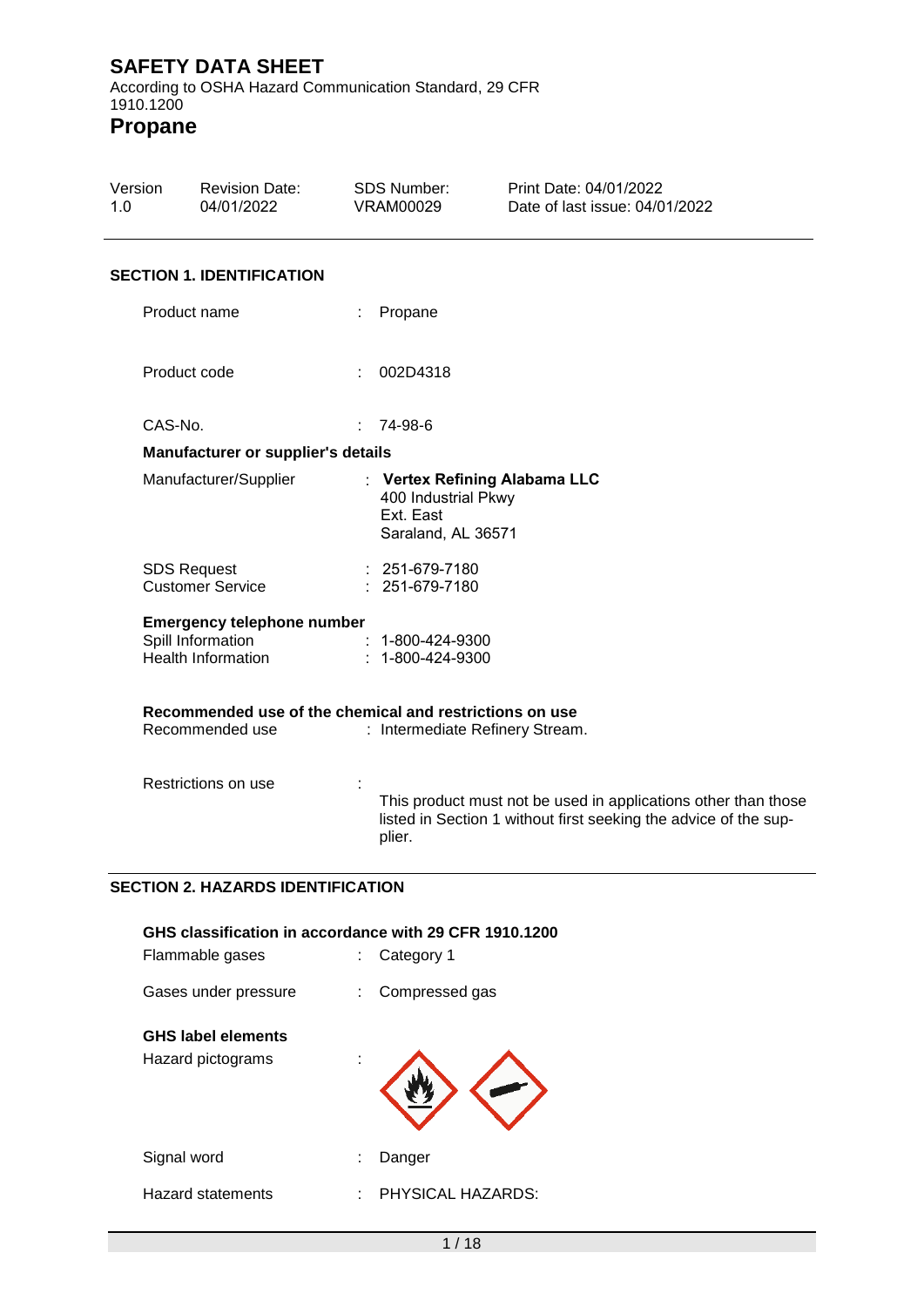According to OSHA Hazard Communication Standard, 29 CFR 1910.1200

**Propane**

| Version<br>1.0 |              | <b>Revision Date:</b><br>04/01/2022                                          |                            | <b>SDS Number:</b><br><b>VRAM00029</b>                 | Print Date: 04/01/2022<br>Date of last issue: 04/01/2022                                                                           |
|----------------|--------------|------------------------------------------------------------------------------|----------------------------|--------------------------------------------------------|------------------------------------------------------------------------------------------------------------------------------------|
|                |              | <b>SECTION 1. IDENTIFICATION</b>                                             |                            |                                                        |                                                                                                                                    |
|                |              | Product name                                                                 |                            | Propane                                                |                                                                                                                                    |
|                | Product code |                                                                              |                            | 002D4318                                               |                                                                                                                                    |
|                | CAS-No.      |                                                                              | $\mathcal{L}^{\text{max}}$ | 74-98-6                                                |                                                                                                                                    |
|                |              | Manufacturer or supplier's details                                           |                            |                                                        |                                                                                                                                    |
|                |              | Manufacturer/Supplier                                                        |                            | 400 Industrial Pkwy<br>Ext. East<br>Saraland, AL 36571 | : Vertex Refining Alabama LLC                                                                                                      |
|                |              | <b>SDS Request</b><br><b>Customer Service</b>                                |                            | : 251-679-7180<br>: 251-679-7180                       |                                                                                                                                    |
|                |              | <b>Emergency telephone number</b><br>Spill Information<br>Health Information |                            | $: 1 - 800 - 424 - 9300$<br>$: 1 - 800 - 424 - 9300$   |                                                                                                                                    |
|                |              | Recommended use of the chemical and restrictions on use                      |                            |                                                        |                                                                                                                                    |
|                |              | Recommended use                                                              |                            |                                                        | : Intermediate Refinery Stream.                                                                                                    |
|                |              | Restrictions on use                                                          |                            | plier.                                                 | This product must not be used in applications other than those<br>listed in Section 1 without first seeking the advice of the sup- |
|                |              | <b>SECTION 2. HAZARDS IDENTIFICATION</b>                                     |                            |                                                        |                                                                                                                                    |
|                |              |                                                                              |                            |                                                        |                                                                                                                                    |
|                |              | GHS classification in accordance with 29 CFR 1910.1200<br>Flammable gases    |                            | Category 1                                             |                                                                                                                                    |
|                |              | Gases under pressure                                                         |                            | Compressed gas                                         |                                                                                                                                    |
|                |              | <b>GHS label elements</b>                                                    |                            |                                                        |                                                                                                                                    |
|                |              | Hazard pictograms                                                            |                            |                                                        |                                                                                                                                    |

Signal word **: Danger** 

Hazard statements : PHYSICAL HAZARDS: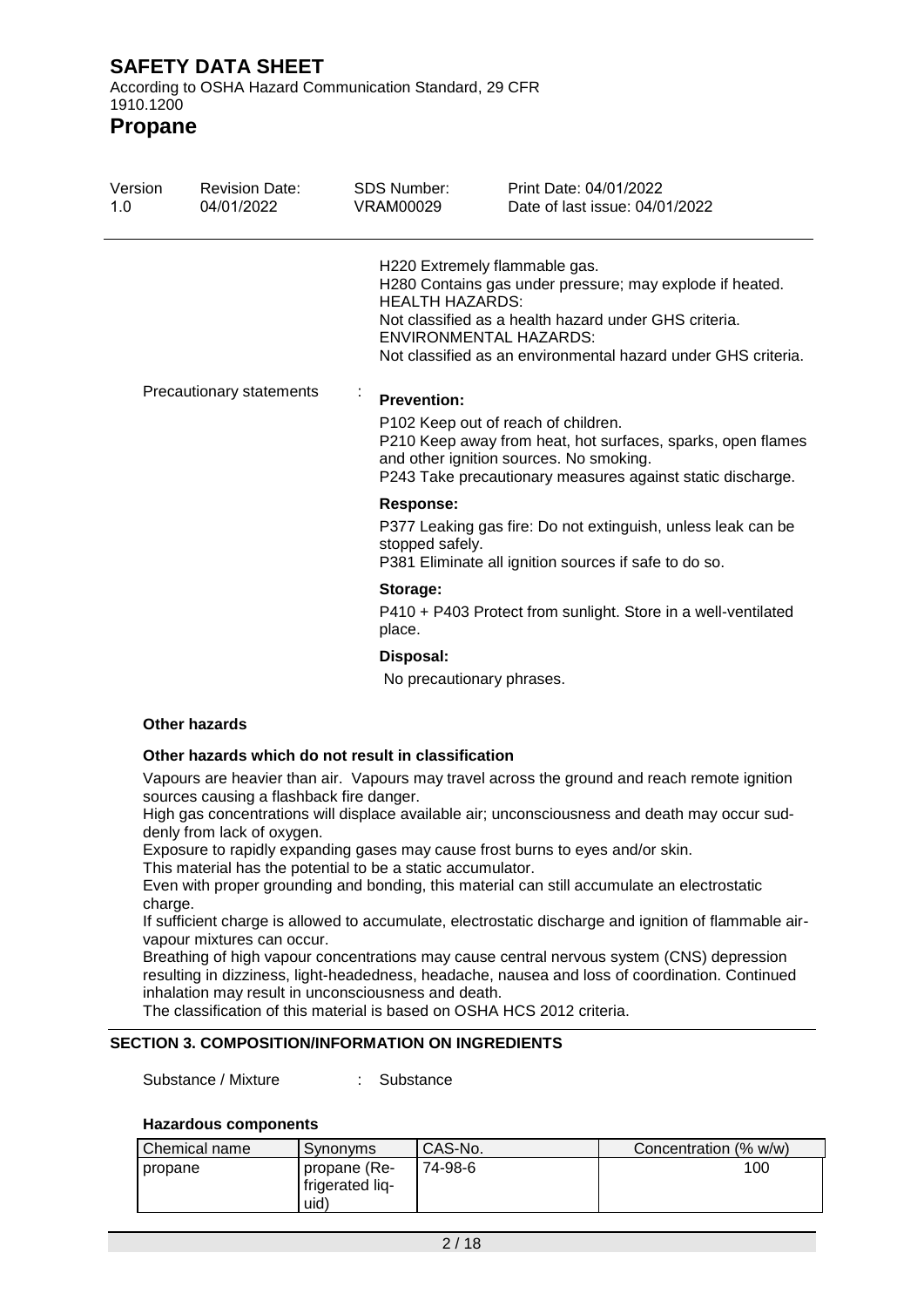According to OSHA Hazard Communication Standard, 29 CFR 1910.1200

**Propane**

| Version<br>1.0           | <b>Revision Date:</b><br>04/01/2022 | SDS Number:<br>VRAM00029            | Print Date: 04/01/2022<br>Date of last issue: 04/01/2022                                                                                                                                                                                             |
|--------------------------|-------------------------------------|-------------------------------------|------------------------------------------------------------------------------------------------------------------------------------------------------------------------------------------------------------------------------------------------------|
|                          |                                     | <b>HEALTH HAZARDS:</b>              | H220 Extremely flammable gas.<br>H280 Contains gas under pressure; may explode if heated.<br>Not classified as a health hazard under GHS criteria.<br><b>ENVIRONMENTAL HAZARDS:</b><br>Not classified as an environmental hazard under GHS criteria. |
| Precautionary statements |                                     | ×,<br><b>Prevention:</b>            | P102 Keep out of reach of children.<br>P210 Keep away from heat, hot surfaces, sparks, open flames<br>and other ignition sources. No smoking.<br>P243 Take precautionary measures against static discharge.                                          |
|                          |                                     | <b>Response:</b><br>stopped safely. | P377 Leaking gas fire: Do not extinguish, unless leak can be<br>P381 Eliminate all ignition sources if safe to do so.                                                                                                                                |
|                          |                                     | Storage:<br>place.                  | P410 + P403 Protect from sunlight. Store in a well-ventilated                                                                                                                                                                                        |
|                          |                                     | Disposal:                           |                                                                                                                                                                                                                                                      |

No precautionary phrases.

### **Other hazards**

#### **Other hazards which do not result in classification**

Vapours are heavier than air. Vapours may travel across the ground and reach remote ignition sources causing a flashback fire danger.

High gas concentrations will displace available air; unconsciousness and death may occur suddenly from lack of oxygen.

Exposure to rapidly expanding gases may cause frost burns to eyes and/or skin.

This material has the potential to be a static accumulator.

Even with proper grounding and bonding, this material can still accumulate an electrostatic charge.

If sufficient charge is allowed to accumulate, electrostatic discharge and ignition of flammable airvapour mixtures can occur.

Breathing of high vapour concentrations may cause central nervous system (CNS) depression resulting in dizziness, light-headedness, headache, nausea and loss of coordination. Continued inhalation may result in unconsciousness and death.

The classification of this material is based on OSHA HCS 2012 criteria.

### **SECTION 3. COMPOSITION/INFORMATION ON INGREDIENTS**

Substance / Mixture : Substance

### **Hazardous components**

| I Chemical name | Synonyms                                | CAS-No. | Concentration (% w/w) |     |
|-----------------|-----------------------------------------|---------|-----------------------|-----|
| I propane       | propane (Re-<br>frigerated lig-<br>uid) | 74-98-6 |                       | 100 |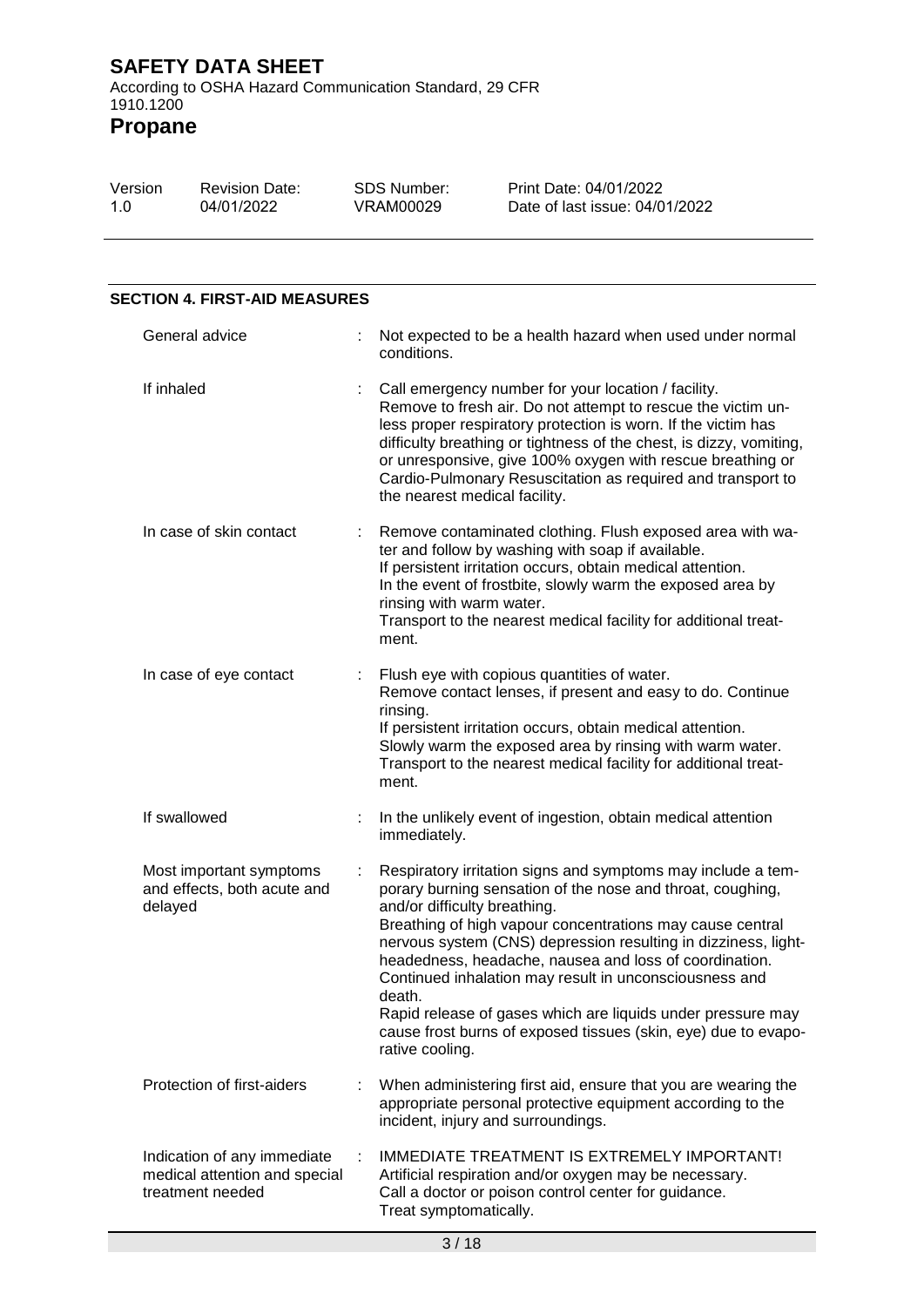**Propane**

| Version | <b>Revision Date:</b> | SDS Number: | Print Date: 04/01/2022         |
|---------|-----------------------|-------------|--------------------------------|
| 1.0     | 04/01/2022            | VRAM00029   | Date of last issue: 04/01/2022 |

## **SECTION 4. FIRST-AID MEASURES**

| General advice                                                                   |    | Not expected to be a health hazard when used under normal<br>conditions.                                                                                                                                                                                                                                                                                                                                                                                                                                                                                                    |
|----------------------------------------------------------------------------------|----|-----------------------------------------------------------------------------------------------------------------------------------------------------------------------------------------------------------------------------------------------------------------------------------------------------------------------------------------------------------------------------------------------------------------------------------------------------------------------------------------------------------------------------------------------------------------------------|
| If inhaled                                                                       |    | Call emergency number for your location / facility.<br>Remove to fresh air. Do not attempt to rescue the victim un-<br>less proper respiratory protection is worn. If the victim has<br>difficulty breathing or tightness of the chest, is dizzy, vomiting,<br>or unresponsive, give 100% oxygen with rescue breathing or<br>Cardio-Pulmonary Resuscitation as required and transport to<br>the nearest medical facility.                                                                                                                                                   |
| In case of skin contact                                                          | ÷. | Remove contaminated clothing. Flush exposed area with wa-<br>ter and follow by washing with soap if available.<br>If persistent irritation occurs, obtain medical attention.<br>In the event of frostbite, slowly warm the exposed area by<br>rinsing with warm water.<br>Transport to the nearest medical facility for additional treat-<br>ment.                                                                                                                                                                                                                          |
| In case of eye contact                                                           |    | Flush eye with copious quantities of water.<br>Remove contact lenses, if present and easy to do. Continue<br>rinsing.<br>If persistent irritation occurs, obtain medical attention.<br>Slowly warm the exposed area by rinsing with warm water.<br>Transport to the nearest medical facility for additional treat-<br>ment.                                                                                                                                                                                                                                                 |
| If swallowed                                                                     |    | In the unlikely event of ingestion, obtain medical attention<br>immediately.                                                                                                                                                                                                                                                                                                                                                                                                                                                                                                |
| Most important symptoms<br>and effects, both acute and<br>delayed                |    | Respiratory irritation signs and symptoms may include a tem-<br>porary burning sensation of the nose and throat, coughing,<br>and/or difficulty breathing.<br>Breathing of high vapour concentrations may cause central<br>nervous system (CNS) depression resulting in dizziness, light-<br>headedness, headache, nausea and loss of coordination.<br>Continued inhalation may result in unconsciousness and<br>death.<br>Rapid release of gases which are liquids under pressure may<br>cause frost burns of exposed tissues (skin, eye) due to evapo-<br>rative cooling. |
| Protection of first-aiders                                                       |    | When administering first aid, ensure that you are wearing the<br>appropriate personal protective equipment according to the<br>incident, injury and surroundings.                                                                                                                                                                                                                                                                                                                                                                                                           |
| Indication of any immediate<br>medical attention and special<br>treatment needed | ÷  | <b>IMMEDIATE TREATMENT IS EXTREMELY IMPORTANT!</b><br>Artificial respiration and/or oxygen may be necessary.<br>Call a doctor or poison control center for guidance.<br>Treat symptomatically.                                                                                                                                                                                                                                                                                                                                                                              |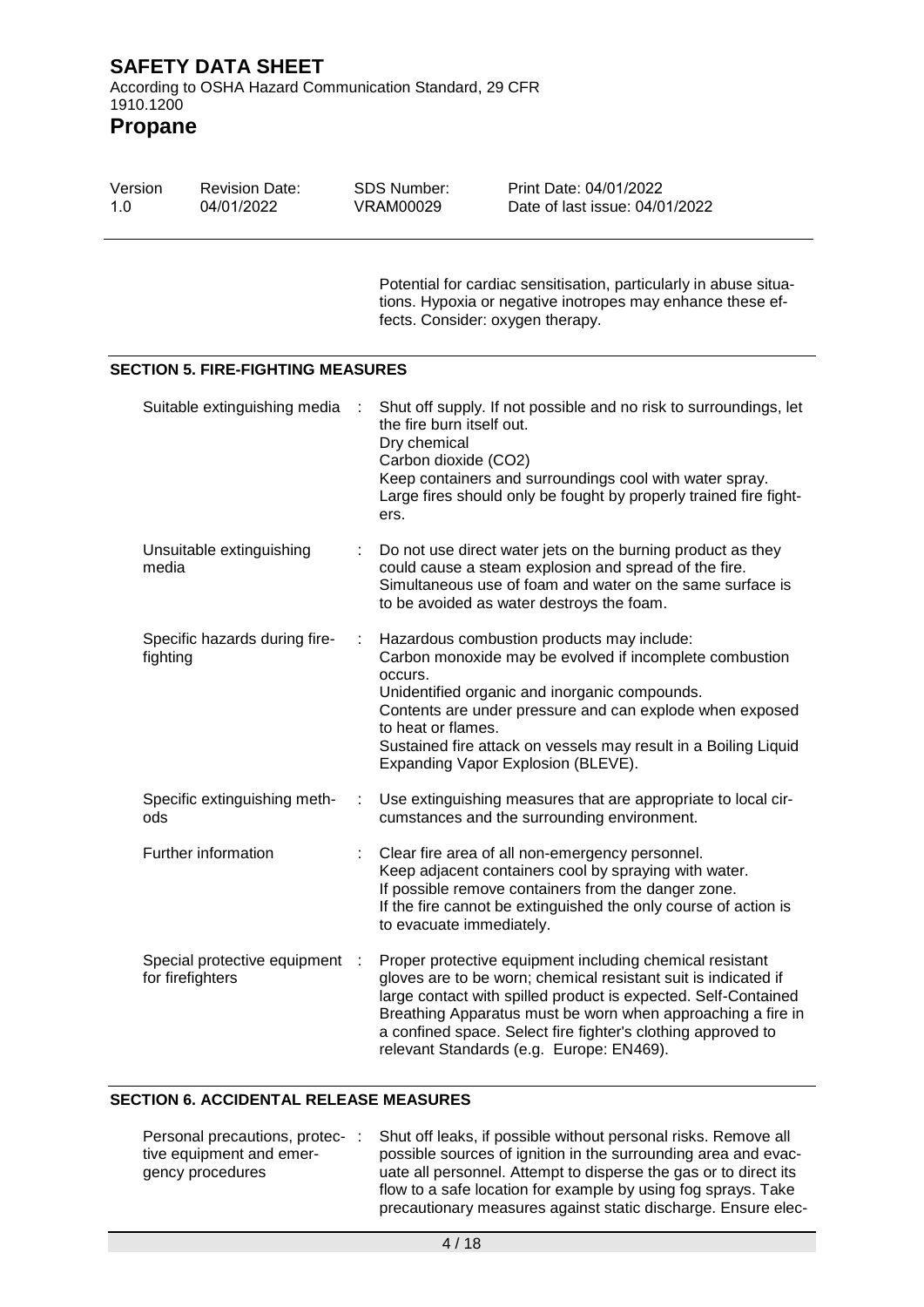**Propane**

| Version<br>1.0 | <b>Revision Date:</b><br>04/01/2022              | <b>SDS Number:</b><br><b>VRAM00029</b>                                    | Print Date: 04/01/2022<br>Date of last issue: 04/01/2022                                                                                                                                                                                                                                                                                                                |
|----------------|--------------------------------------------------|---------------------------------------------------------------------------|-------------------------------------------------------------------------------------------------------------------------------------------------------------------------------------------------------------------------------------------------------------------------------------------------------------------------------------------------------------------------|
|                |                                                  |                                                                           | Potential for cardiac sensitisation, particularly in abuse situa-<br>tions. Hypoxia or negative inotropes may enhance these ef-<br>fects. Consider: oxygen therapy.                                                                                                                                                                                                     |
|                | <b>SECTION 5. FIRE-FIGHTING MEASURES</b>         |                                                                           |                                                                                                                                                                                                                                                                                                                                                                         |
|                | Suitable extinguishing media                     | the fire burn itself out.<br>Dry chemical<br>Carbon dioxide (CO2)<br>ers. | Shut off supply. If not possible and no risk to surroundings, let<br>Keep containers and surroundings cool with water spray.<br>Large fires should only be fought by properly trained fire fight-                                                                                                                                                                       |
|                | Unsuitable extinguishing<br>media                |                                                                           | Do not use direct water jets on the burning product as they<br>could cause a steam explosion and spread of the fire.<br>Simultaneous use of foam and water on the same surface is<br>to be avoided as water destroys the foam.                                                                                                                                          |
|                | Specific hazards during fire-<br>fighting        | occurs.<br>to heat or flames.                                             | Hazardous combustion products may include:<br>Carbon monoxide may be evolved if incomplete combustion<br>Unidentified organic and inorganic compounds.<br>Contents are under pressure and can explode when exposed<br>Sustained fire attack on vessels may result in a Boiling Liquid<br>Expanding Vapor Explosion (BLEVE).                                             |
| ods            | Specific extinguishing meth-                     | ÷                                                                         | Use extinguishing measures that are appropriate to local cir-<br>cumstances and the surrounding environment.                                                                                                                                                                                                                                                            |
|                | Further information                              | to evacuate immediately.                                                  | Clear fire area of all non-emergency personnel.<br>Keep adjacent containers cool by spraying with water.<br>If possible remove containers from the danger zone.<br>If the fire cannot be extinguished the only course of action is                                                                                                                                      |
|                | Special protective equipment<br>for firefighters | - 11                                                                      | Proper protective equipment including chemical resistant<br>gloves are to be worn; chemical resistant suit is indicated if<br>large contact with spilled product is expected. Self-Contained<br>Breathing Apparatus must be worn when approaching a fire in<br>a confined space. Select fire fighter's clothing approved to<br>relevant Standards (e.g. Europe: EN469). |

# **SECTION 6. ACCIDENTAL RELEASE MEASURES**

| Personal precautions, protec- |  | Shut off leaks, if possible without personal risks. Remove all   |
|-------------------------------|--|------------------------------------------------------------------|
| tive equipment and emer-      |  | possible sources of ignition in the surrounding area and evac-   |
| gency procedures              |  | uate all personnel. Attempt to disperse the gas or to direct its |
|                               |  | flow to a safe location for example by using fog sprays. Take    |
|                               |  | precautionary measures against static discharge. Ensure elec-    |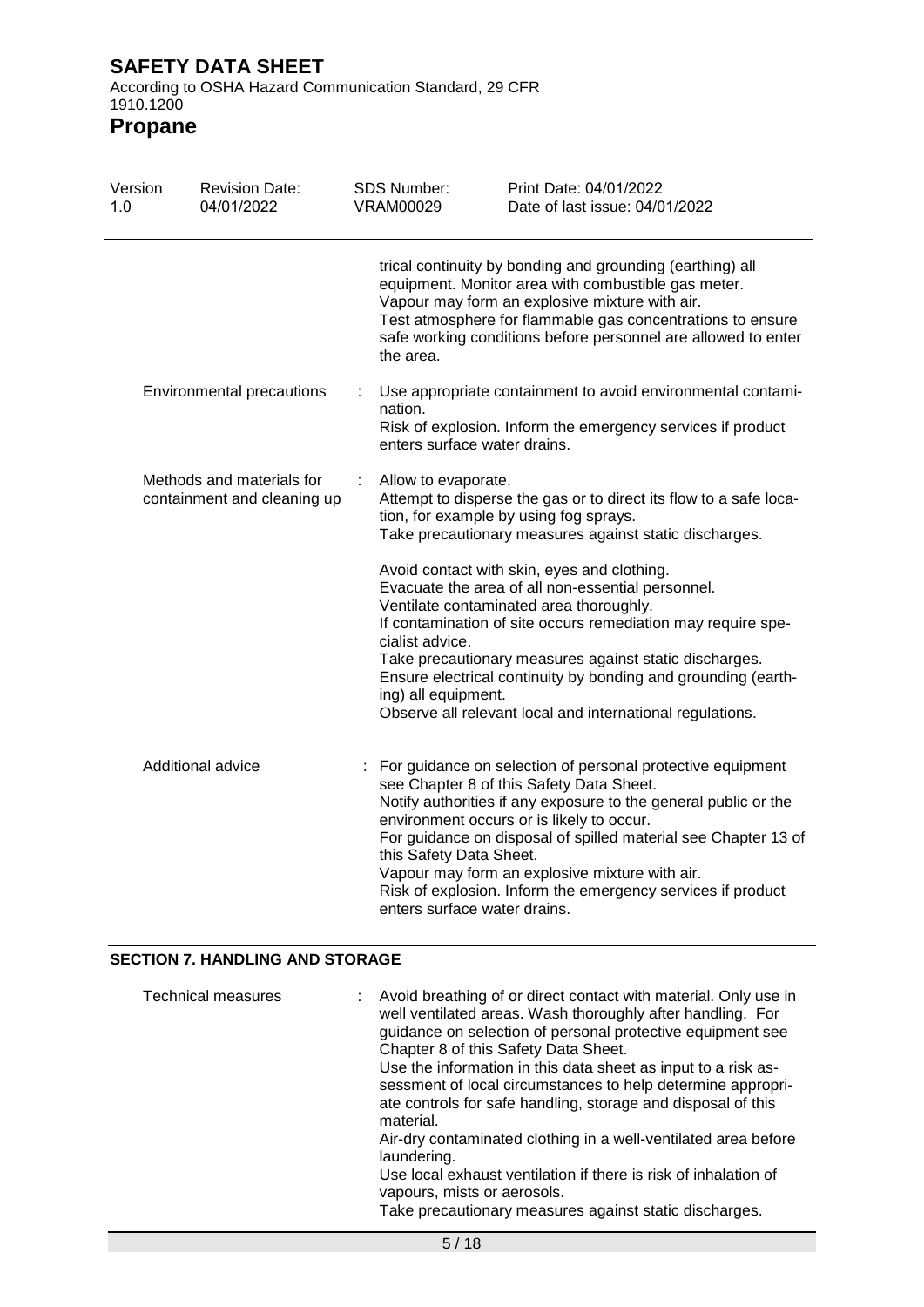According to OSHA Hazard Communication Standard, 29 CFR 1910.1200

**Propane**

| Version<br>1.0 | <b>Revision Date:</b><br>04/01/2022                      | SDS Number:<br><b>VRAM00029</b>                         | Print Date: 04/01/2022<br>Date of last issue: 04/01/2022                                                                                                                                                                                                                                                                                                                                                    |  |  |
|----------------|----------------------------------------------------------|---------------------------------------------------------|-------------------------------------------------------------------------------------------------------------------------------------------------------------------------------------------------------------------------------------------------------------------------------------------------------------------------------------------------------------------------------------------------------------|--|--|
|                |                                                          | the area.                                               | trical continuity by bonding and grounding (earthing) all<br>equipment. Monitor area with combustible gas meter.<br>Vapour may form an explosive mixture with air.<br>Test atmosphere for flammable gas concentrations to ensure<br>safe working conditions before personnel are allowed to enter                                                                                                           |  |  |
|                | Environmental precautions                                | nation.                                                 | Use appropriate containment to avoid environmental contami-<br>Risk of explosion. Inform the emergency services if product<br>enters surface water drains.                                                                                                                                                                                                                                                  |  |  |
|                | Methods and materials for<br>containment and cleaning up | Allow to evaporate.                                     | Attempt to disperse the gas or to direct its flow to a safe loca-<br>tion, for example by using fog sprays.<br>Take precautionary measures against static discharges.                                                                                                                                                                                                                                       |  |  |
|                |                                                          | cialist advice.<br>ing) all equipment.                  | Avoid contact with skin, eyes and clothing.<br>Evacuate the area of all non-essential personnel.<br>Ventilate contaminated area thoroughly.<br>If contamination of site occurs remediation may require spe-<br>Take precautionary measures against static discharges.<br>Ensure electrical continuity by bonding and grounding (earth-<br>Observe all relevant local and international regulations.         |  |  |
|                | Additional advice                                        | this Safety Data Sheet.<br>enters surface water drains. | : For guidance on selection of personal protective equipment<br>see Chapter 8 of this Safety Data Sheet.<br>Notify authorities if any exposure to the general public or the<br>environment occurs or is likely to occur.<br>For guidance on disposal of spilled material see Chapter 13 of<br>Vapour may form an explosive mixture with air.<br>Risk of explosion. Inform the emergency services if product |  |  |

### **SECTION 7. HANDLING AND STORAGE**

| Technical measures | : Avoid breathing of or direct contact with material. Only use in<br>well ventilated areas. Wash thoroughly after handling. For<br>guidance on selection of personal protective equipment see<br>Chapter 8 of this Safety Data Sheet. |
|--------------------|---------------------------------------------------------------------------------------------------------------------------------------------------------------------------------------------------------------------------------------|
|                    | Use the information in this data sheet as input to a risk as-<br>sessment of local circumstances to help determine appropri-<br>ate controls for safe handling, storage and disposal of this<br>material.                             |
|                    | Air-dry contaminated clothing in a well-ventilated area before<br>laundering.                                                                                                                                                         |
|                    | Use local exhaust ventilation if there is risk of inhalation of<br>vapours, mists or aerosols.                                                                                                                                        |
|                    | Take precautionary measures against static discharges.                                                                                                                                                                                |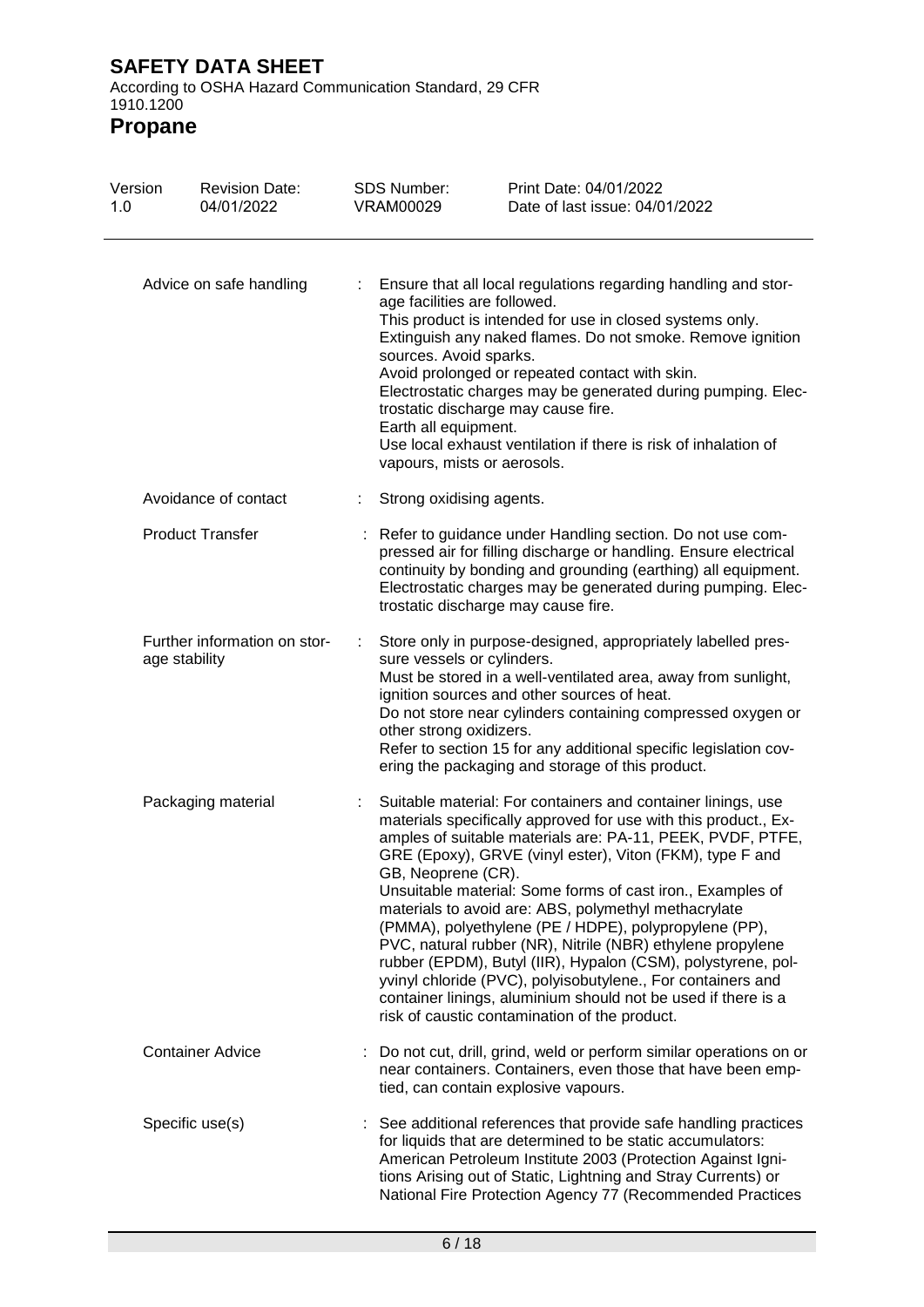| Version<br>1.0 | <b>Revision Date:</b><br>04/01/2022           | <b>SDS Number:</b><br><b>VRAM00029</b>                                                                        | Print Date: 04/01/2022<br>Date of last issue: 04/01/2022                                                                                                                                                                                                                                                                                                                                                                                                                                                                                                                                                                                                                                                                                                |
|----------------|-----------------------------------------------|---------------------------------------------------------------------------------------------------------------|---------------------------------------------------------------------------------------------------------------------------------------------------------------------------------------------------------------------------------------------------------------------------------------------------------------------------------------------------------------------------------------------------------------------------------------------------------------------------------------------------------------------------------------------------------------------------------------------------------------------------------------------------------------------------------------------------------------------------------------------------------|
|                | Advice on safe handling                       | age facilities are followed.<br>sources. Avoid sparks.<br>Earth all equipment.<br>vapours, mists or aerosols. | Ensure that all local regulations regarding handling and stor-<br>This product is intended for use in closed systems only.<br>Extinguish any naked flames. Do not smoke. Remove ignition<br>Avoid prolonged or repeated contact with skin.<br>Electrostatic charges may be generated during pumping. Elec-<br>trostatic discharge may cause fire.<br>Use local exhaust ventilation if there is risk of inhalation of                                                                                                                                                                                                                                                                                                                                    |
|                | Avoidance of contact                          | Strong oxidising agents.                                                                                      |                                                                                                                                                                                                                                                                                                                                                                                                                                                                                                                                                                                                                                                                                                                                                         |
|                | <b>Product Transfer</b>                       |                                                                                                               | Refer to guidance under Handling section. Do not use com-<br>pressed air for filling discharge or handling. Ensure electrical<br>continuity by bonding and grounding (earthing) all equipment.<br>Electrostatic charges may be generated during pumping. Elec-<br>trostatic discharge may cause fire.                                                                                                                                                                                                                                                                                                                                                                                                                                                   |
|                | Further information on stor-<br>age stability | sure vessels or cylinders.<br>other strong oxidizers.                                                         | Store only in purpose-designed, appropriately labelled pres-<br>Must be stored in a well-ventilated area, away from sunlight,<br>ignition sources and other sources of heat.<br>Do not store near cylinders containing compressed oxygen or<br>Refer to section 15 for any additional specific legislation cov-<br>ering the packaging and storage of this product.                                                                                                                                                                                                                                                                                                                                                                                     |
|                | Packaging material                            | GB, Neoprene (CR).                                                                                            | Suitable material: For containers and container linings, use<br>materials specifically approved for use with this product., Ex-<br>amples of suitable materials are: PA-11, PEEK, PVDF, PTFE,<br>GRE (Epoxy), GRVE (vinyl ester), Viton (FKM), type F and<br>Unsuitable material: Some forms of cast iron., Examples of<br>materials to avoid are: ABS, polymethyl methacrylate<br>(PMMA), polyethylene (PE / HDPE), polypropylene (PP),<br>PVC, natural rubber (NR), Nitrile (NBR) ethylene propylene<br>rubber (EPDM), Butyl (IIR), Hypalon (CSM), polystyrene, pol-<br>yvinyl chloride (PVC), polyisobutylene., For containers and<br>container linings, aluminium should not be used if there is a<br>risk of caustic contamination of the product. |
|                | <b>Container Advice</b>                       |                                                                                                               | : Do not cut, drill, grind, weld or perform similar operations on or<br>near containers. Containers, even those that have been emp-<br>tied, can contain explosive vapours.                                                                                                                                                                                                                                                                                                                                                                                                                                                                                                                                                                             |
|                | Specific use(s)                               |                                                                                                               | : See additional references that provide safe handling practices<br>for liquids that are determined to be static accumulators:<br>American Petroleum Institute 2003 (Protection Against Igni-<br>tions Arising out of Static, Lightning and Stray Currents) or<br>National Fire Protection Agency 77 (Recommended Practices                                                                                                                                                                                                                                                                                                                                                                                                                             |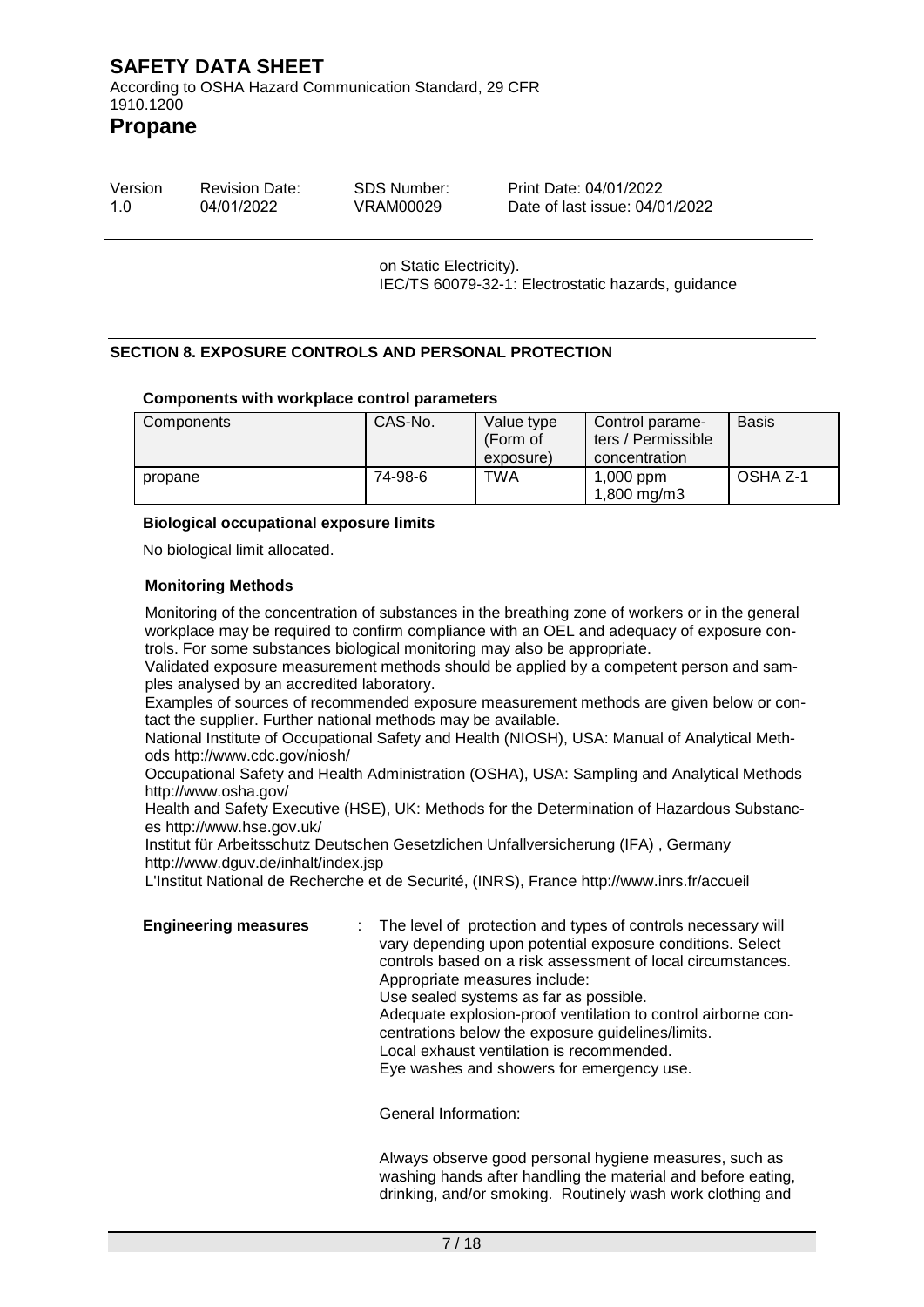According to OSHA Hazard Communication Standard, 29 CFR 1910.1200

**Propane**

| Version | <b>Revision Date:</b> | SDS Number: | Print Date: 04/01/2022         |
|---------|-----------------------|-------------|--------------------------------|
| 1.0     | 04/01/2022            | VRAM00029   | Date of last issue: 04/01/2022 |

on Static Electricity). IEC/TS 60079-32-1: Electrostatic hazards, guidance

### **SECTION 8. EXPOSURE CONTROLS AND PERSONAL PROTECTION**

#### **Components with workplace control parameters**

| Components | CAS-No. | Value type<br>(Form of<br>exposure) | Control parame-<br>ters / Permissible<br>concentration | <b>Basis</b> |
|------------|---------|-------------------------------------|--------------------------------------------------------|--------------|
| propane    | 74-98-6 | TWA                                 | $1,000$ ppm<br>1,800 mg/m3                             | OSHA Z-1     |

#### **Biological occupational exposure limits**

No biological limit allocated.

#### **Monitoring Methods**

Monitoring of the concentration of substances in the breathing zone of workers or in the general workplace may be required to confirm compliance with an OEL and adequacy of exposure controls. For some substances biological monitoring may also be appropriate.

Validated exposure measurement methods should be applied by a competent person and samples analysed by an accredited laboratory.

Examples of sources of recommended exposure measurement methods are given below or contact the supplier. Further national methods may be available.

National Institute of Occupational Safety and Health (NIOSH), USA: Manual of Analytical Methods http://www.cdc.gov/niosh/

Occupational Safety and Health Administration (OSHA), USA: Sampling and Analytical Methods http://www.osha.gov/

Health and Safety Executive (HSE), UK: Methods for the Determination of Hazardous Substances http://www.hse.gov.uk/

Institut für Arbeitsschutz Deutschen Gesetzlichen Unfallversicherung (IFA) , Germany http://www.dguv.de/inhalt/index.jsp

L'Institut National de Recherche et de Securité, (INRS), France http://www.inrs.fr/accueil

**Engineering measures** : The level of protection and types of controls necessary will vary depending upon potential exposure conditions. Select controls based on a risk assessment of local circumstances. Appropriate measures include: Use sealed systems as far as possible. Adequate explosion-proof ventilation to control airborne concentrations below the exposure guidelines/limits. Local exhaust ventilation is recommended. Eye washes and showers for emergency use.

General Information:

Always observe good personal hygiene measures, such as washing hands after handling the material and before eating, drinking, and/or smoking. Routinely wash work clothing and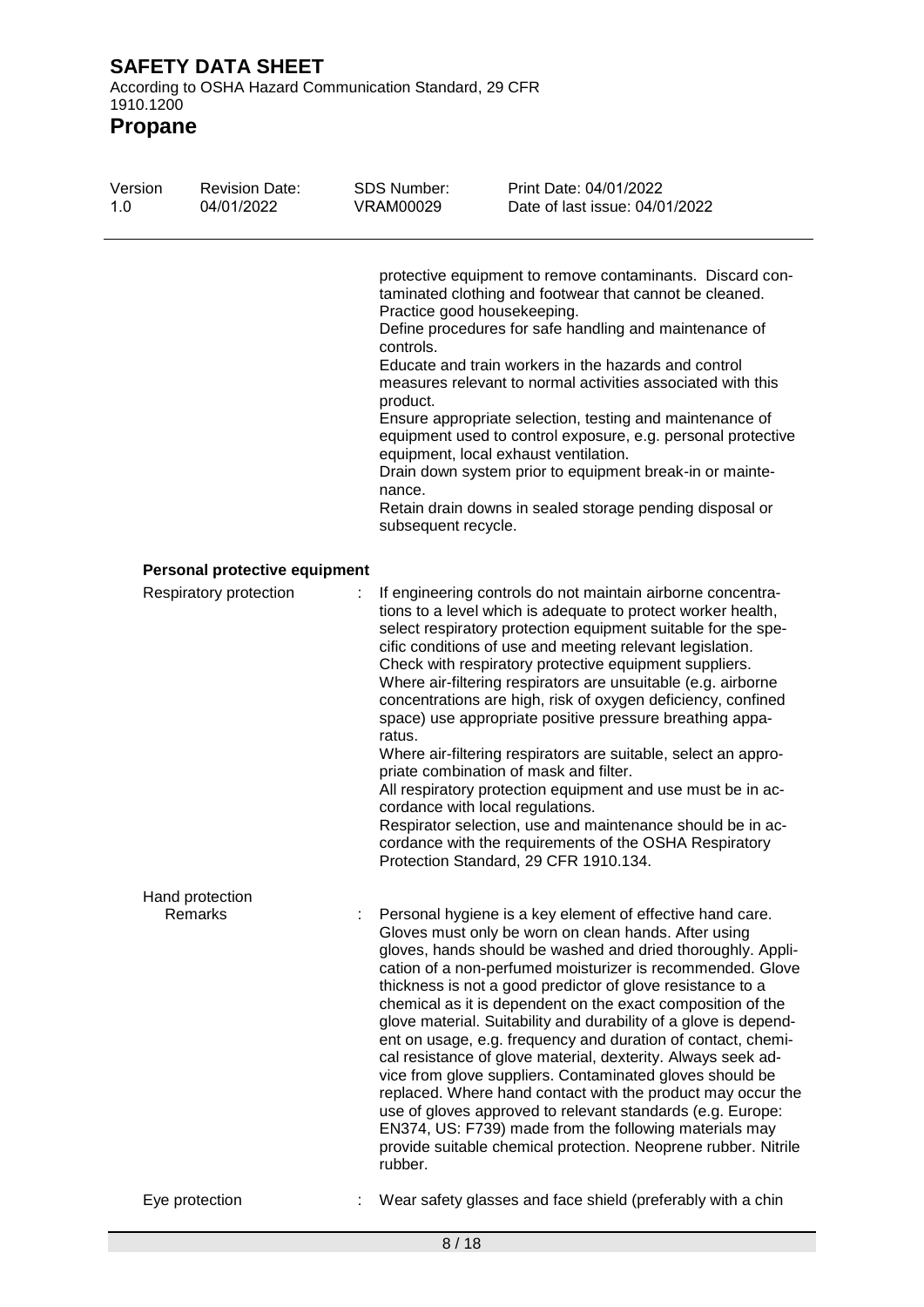1910.1200 **Propane**

| Version<br>1.0 | <b>Revision Date:</b><br>04/01/2022 | SDS Number:<br><b>VRAM00029</b>                        | Print Date: 04/01/2022<br>Date of last issue: 04/01/2022                                                                                                                                                                                                                                                                                                                                                                                                                                                                                                                                                                                                                                                                                                                                                                                                                                             |
|----------------|-------------------------------------|--------------------------------------------------------|------------------------------------------------------------------------------------------------------------------------------------------------------------------------------------------------------------------------------------------------------------------------------------------------------------------------------------------------------------------------------------------------------------------------------------------------------------------------------------------------------------------------------------------------------------------------------------------------------------------------------------------------------------------------------------------------------------------------------------------------------------------------------------------------------------------------------------------------------------------------------------------------------|
|                |                                     | controls.<br>product.<br>nance.<br>subsequent recycle. | protective equipment to remove contaminants. Discard con-<br>taminated clothing and footwear that cannot be cleaned.<br>Practice good housekeeping.<br>Define procedures for safe handling and maintenance of<br>Educate and train workers in the hazards and control<br>measures relevant to normal activities associated with this<br>Ensure appropriate selection, testing and maintenance of<br>equipment used to control exposure, e.g. personal protective<br>equipment, local exhaust ventilation.<br>Drain down system prior to equipment break-in or mainte-<br>Retain drain downs in sealed storage pending disposal or                                                                                                                                                                                                                                                                    |
|                | Personal protective equipment       |                                                        |                                                                                                                                                                                                                                                                                                                                                                                                                                                                                                                                                                                                                                                                                                                                                                                                                                                                                                      |
|                | Respiratory protection              | ratus.                                                 | If engineering controls do not maintain airborne concentra-<br>tions to a level which is adequate to protect worker health,<br>select respiratory protection equipment suitable for the spe-<br>cific conditions of use and meeting relevant legislation.<br>Check with respiratory protective equipment suppliers.<br>Where air-filtering respirators are unsuitable (e.g. airborne<br>concentrations are high, risk of oxygen deficiency, confined<br>space) use appropriate positive pressure breathing appa-<br>Where air-filtering respirators are suitable, select an appro-<br>priate combination of mask and filter.<br>All respiratory protection equipment and use must be in ac-<br>cordance with local regulations.<br>Respirator selection, use and maintenance should be in ac-<br>cordance with the requirements of the OSHA Respiratory<br>Protection Standard, 29 CFR 1910.134.     |
|                | Hand protection<br>Remarks          | rubber.                                                | Personal hygiene is a key element of effective hand care.<br>Gloves must only be worn on clean hands. After using<br>gloves, hands should be washed and dried thoroughly. Appli-<br>cation of a non-perfumed moisturizer is recommended. Glove<br>thickness is not a good predictor of glove resistance to a<br>chemical as it is dependent on the exact composition of the<br>glove material. Suitability and durability of a glove is depend-<br>ent on usage, e.g. frequency and duration of contact, chemi-<br>cal resistance of glove material, dexterity. Always seek ad-<br>vice from glove suppliers. Contaminated gloves should be<br>replaced. Where hand contact with the product may occur the<br>use of gloves approved to relevant standards (e.g. Europe:<br>EN374, US: F739) made from the following materials may<br>provide suitable chemical protection. Neoprene rubber. Nitrile |
|                | Eye protection                      |                                                        | Wear safety glasses and face shield (preferably with a chin                                                                                                                                                                                                                                                                                                                                                                                                                                                                                                                                                                                                                                                                                                                                                                                                                                          |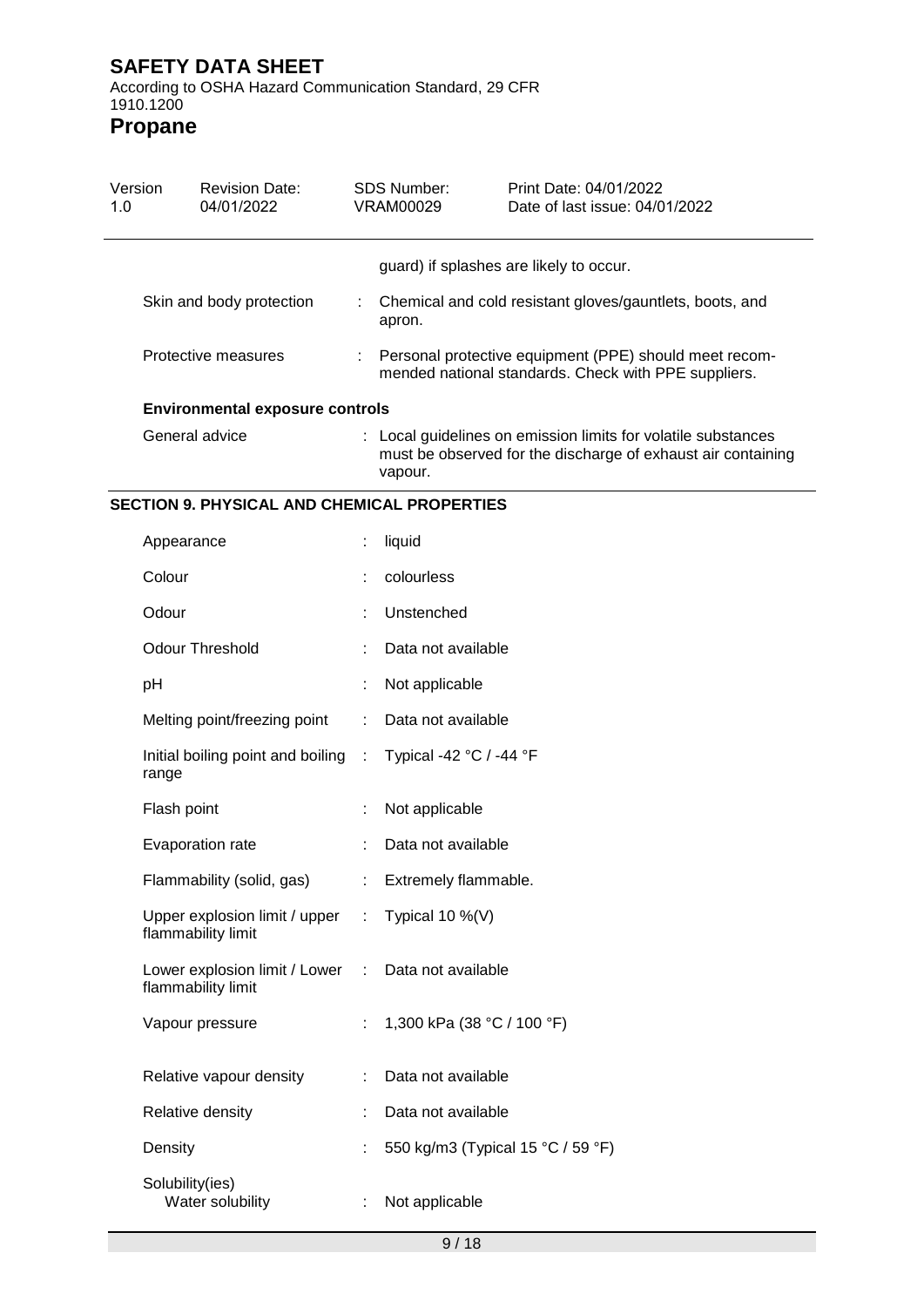According to OSHA Hazard Communication Standard, 29 CFR 1910.1200

| Version<br>1.0 | <b>Revision Date:</b><br>04/01/2022                   |    | <b>SDS Number:</b><br><b>VRAM00029</b>                                                                                                   | Print Date: 04/01/2022<br>Date of last issue: 04/01/2022 |
|----------------|-------------------------------------------------------|----|------------------------------------------------------------------------------------------------------------------------------------------|----------------------------------------------------------|
|                |                                                       |    |                                                                                                                                          | guard) if splashes are likely to occur.                  |
|                | Skin and body protection                              | ÷. | apron.                                                                                                                                   | Chemical and cold resistant gloves/gauntlets, boots, and |
|                | Protective measures                                   |    | Personal protective equipment (PPE) should meet recom-<br>mended national standards. Check with PPE suppliers.                           |                                                          |
|                | <b>Environmental exposure controls</b>                |    |                                                                                                                                          |                                                          |
|                | General advice                                        |    | : Local guidelines on emission limits for volatile substances<br>must be observed for the discharge of exhaust air containing<br>vapour. |                                                          |
|                | <b>SECTION 9. PHYSICAL AND CHEMICAL PROPERTIES</b>    |    |                                                                                                                                          |                                                          |
|                | Appearance                                            |    | liquid                                                                                                                                   |                                                          |
|                | Colour                                                |    | colourless                                                                                                                               |                                                          |
|                | Odour                                                 |    | Unstenched                                                                                                                               |                                                          |
|                | <b>Odour Threshold</b>                                |    | Data not available                                                                                                                       |                                                          |
|                | рH                                                    |    | Not applicable                                                                                                                           |                                                          |
|                | Melting point/freezing point                          |    | Data not available                                                                                                                       |                                                          |
|                | Initial boiling point and boiling :<br>range          |    | Typical -42 °C / -44 °F                                                                                                                  |                                                          |
|                | Flash point                                           |    | Not applicable                                                                                                                           |                                                          |
|                | Evaporation rate                                      |    | Data not available                                                                                                                       |                                                          |
|                | Flammability (solid, gas)                             |    | Extremely flammable.                                                                                                                     |                                                          |
|                | Upper explosion limit / upper<br>flammability limit   | ÷  | Typical 10 $\%$ (V)                                                                                                                      |                                                          |
|                | Lower explosion limit / Lower :<br>flammability limit |    | Data not available                                                                                                                       |                                                          |
|                | Vapour pressure                                       |    | 1,300 kPa (38 °C / 100 °F)                                                                                                               |                                                          |
|                | Relative vapour density                               |    | Data not available                                                                                                                       |                                                          |
|                | Relative density                                      |    | Data not available                                                                                                                       |                                                          |
|                | Density                                               |    | 550 kg/m3 (Typical 15 °C / 59 °F)                                                                                                        |                                                          |
|                | Solubility(ies)<br>Water solubility                   |    | Not applicable                                                                                                                           |                                                          |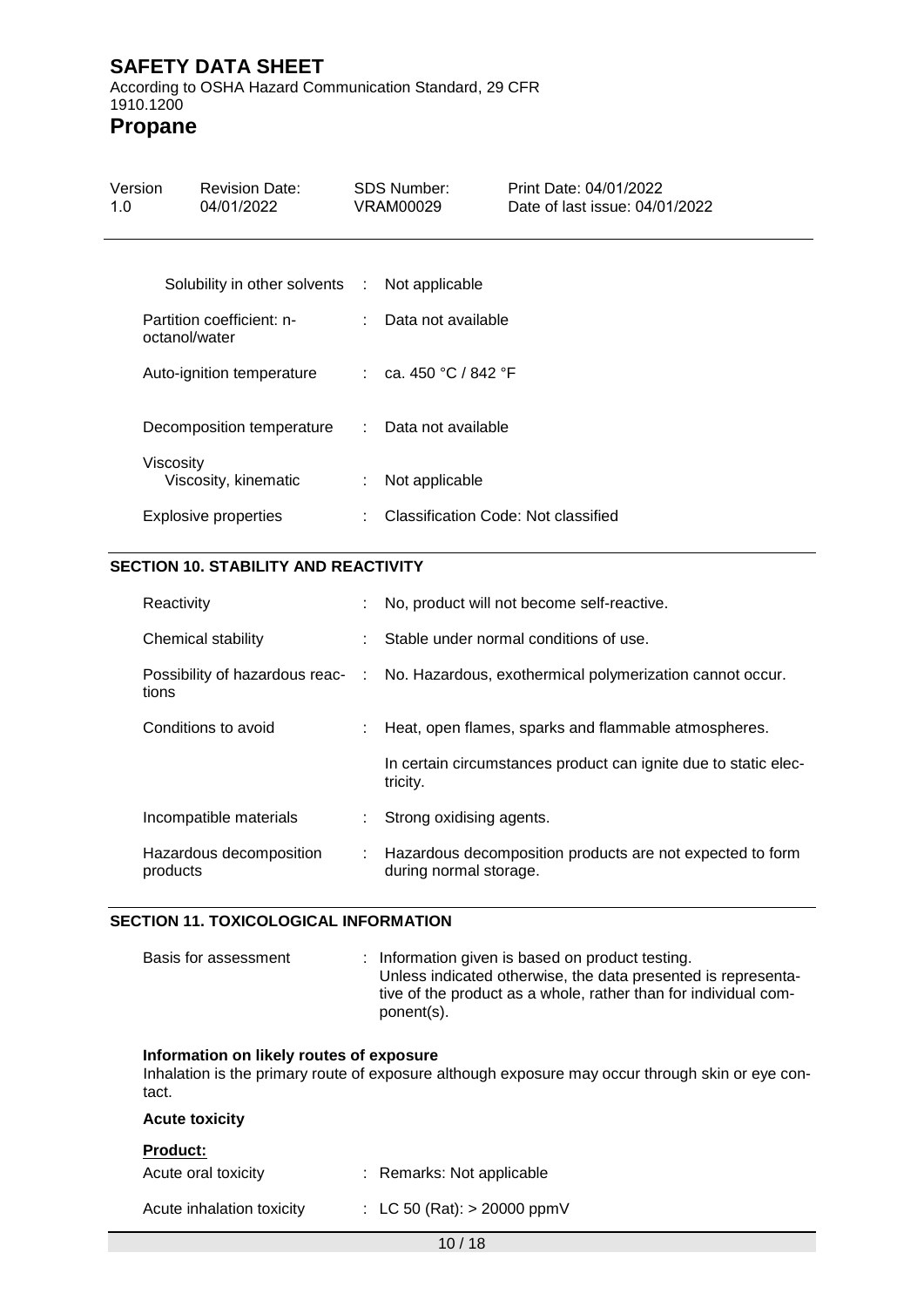According to OSHA Hazard Communication Standard, 29 CFR 1910.1200 **Propane**

| Version<br>1.0 | <b>Revision Date:</b><br>04/01/2022           |                             | <b>SDS Number:</b><br>VRAM00029     | Print Date: 04/01/2022<br>Date of last issue: 04/01/2022 |
|----------------|-----------------------------------------------|-----------------------------|-------------------------------------|----------------------------------------------------------|
|                | Solubility in other solvents : Not applicable |                             |                                     |                                                          |
|                | Partition coefficient: n-<br>octanol/water    | $\mathcal{I}^{\mathcal{I}}$ | Data not available                  |                                                          |
|                | Auto-ignition temperature                     |                             | : ca. 450 °C / 842 °F               |                                                          |
|                | Decomposition temperature                     |                             | : Data not available                |                                                          |
| Viscosity      | Viscosity, kinematic                          | ÷.                          | Not applicable                      |                                                          |
|                | Explosive properties                          | t.                          | Classification Code: Not classified |                                                          |

# **SECTION 10. STABILITY AND REACTIVITY**

| Reactivity                                |    | No, product will not become self-reactive.                                          |
|-------------------------------------------|----|-------------------------------------------------------------------------------------|
| Chemical stability                        |    | Stable under normal conditions of use.                                              |
| Possibility of hazardous reac- :<br>tions |    | No. Hazardous, exothermical polymerization cannot occur.                            |
| Conditions to avoid                       |    | Heat, open flames, sparks and flammable atmospheres.                                |
|                                           |    | In certain circumstances product can ignite due to static elec-<br>tricity.         |
| Incompatible materials                    | ÷. | Strong oxidising agents.                                                            |
| Hazardous decomposition<br>products       |    | Hazardous decomposition products are not expected to form<br>during normal storage. |

#### **SECTION 11. TOXICOLOGICAL INFORMATION**

| Basis for assessment | : Information given is based on product testing.                |
|----------------------|-----------------------------------------------------------------|
|                      | Unless indicated otherwise, the data presented is representa-   |
|                      | tive of the product as a whole, rather than for individual com- |
|                      | ponent(s).                                                      |

### **Information on likely routes of exposure**

Inhalation is the primary route of exposure although exposure may occur through skin or eye contact.

| <b>Acute toxicity</b>                  |                               |
|----------------------------------------|-------------------------------|
| <b>Product:</b><br>Acute oral toxicity | : Remarks: Not applicable     |
| Acute inhalation toxicity              | : LC 50 (Rat): $> 20000$ ppmV |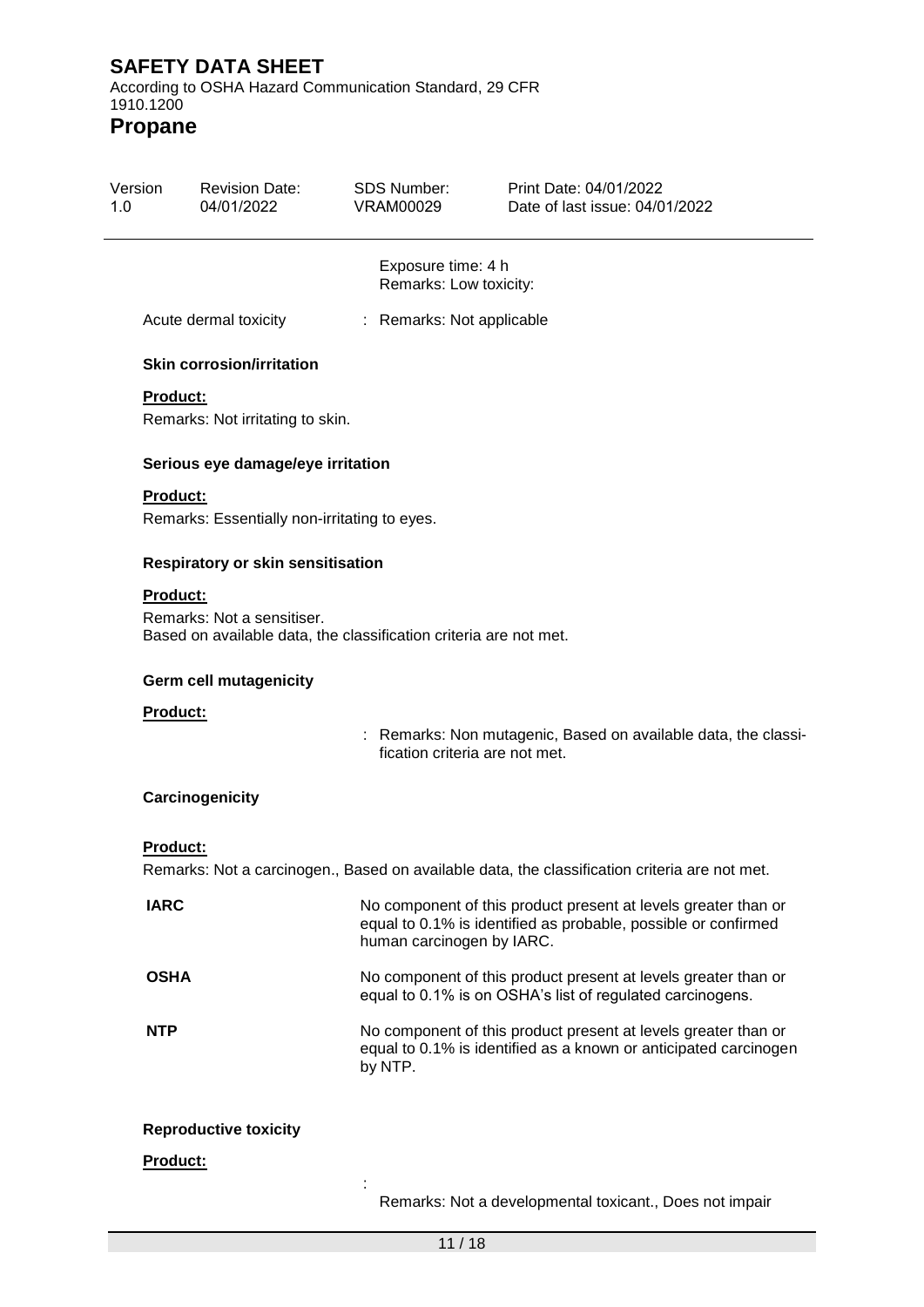According to OSHA Hazard Communication Standard, 29 CFR 1910.1200

**Propane**

| Version<br>1.0 | <b>Revision Date:</b><br>04/01/2022                                                                                | SDS Number:<br><b>VRAM00029</b>              | Print Date: 04/01/2022<br>Date of last issue: 04/01/2022                                                                           |
|----------------|--------------------------------------------------------------------------------------------------------------------|----------------------------------------------|------------------------------------------------------------------------------------------------------------------------------------|
|                |                                                                                                                    | Exposure time: 4 h<br>Remarks: Low toxicity: |                                                                                                                                    |
|                | Acute dermal toxicity                                                                                              | : Remarks: Not applicable                    |                                                                                                                                    |
|                | <b>Skin corrosion/irritation</b>                                                                                   |                                              |                                                                                                                                    |
|                | <b>Product:</b><br>Remarks: Not irritating to skin.                                                                |                                              |                                                                                                                                    |
|                | Serious eye damage/eye irritation                                                                                  |                                              |                                                                                                                                    |
|                | <b>Product:</b><br>Remarks: Essentially non-irritating to eyes.                                                    |                                              |                                                                                                                                    |
|                | Respiratory or skin sensitisation                                                                                  |                                              |                                                                                                                                    |
|                | <b>Product:</b><br>Remarks: Not a sensitiser.<br>Based on available data, the classification criteria are not met. |                                              |                                                                                                                                    |
|                | Germ cell mutagenicity                                                                                             |                                              |                                                                                                                                    |
|                | Product:                                                                                                           | fication criteria are not met.               | Remarks: Non mutagenic, Based on available data, the classi-                                                                       |
|                | Carcinogenicity                                                                                                    |                                              |                                                                                                                                    |
|                | <b>Product:</b>                                                                                                    |                                              | Remarks: Not a carcinogen., Based on available data, the classification criteria are not met.                                      |
|                | <b>IARC</b>                                                                                                        | human carcinogen by IARC.                    | No component of this product present at levels greater than or<br>equal to 0.1% is identified as probable, possible or confirmed   |
|                | <b>OSHA</b>                                                                                                        |                                              | No component of this product present at levels greater than or<br>equal to 0.1% is on OSHA's list of regulated carcinogens.        |
|                | <b>NTP</b>                                                                                                         | by NTP.                                      | No component of this product present at levels greater than or<br>equal to 0.1% is identified as a known or anticipated carcinogen |
|                | <b>Reproductive toxicity</b>                                                                                       |                                              |                                                                                                                                    |
|                | Product:                                                                                                           |                                              |                                                                                                                                    |

Remarks: Not a developmental toxicant., Does not impair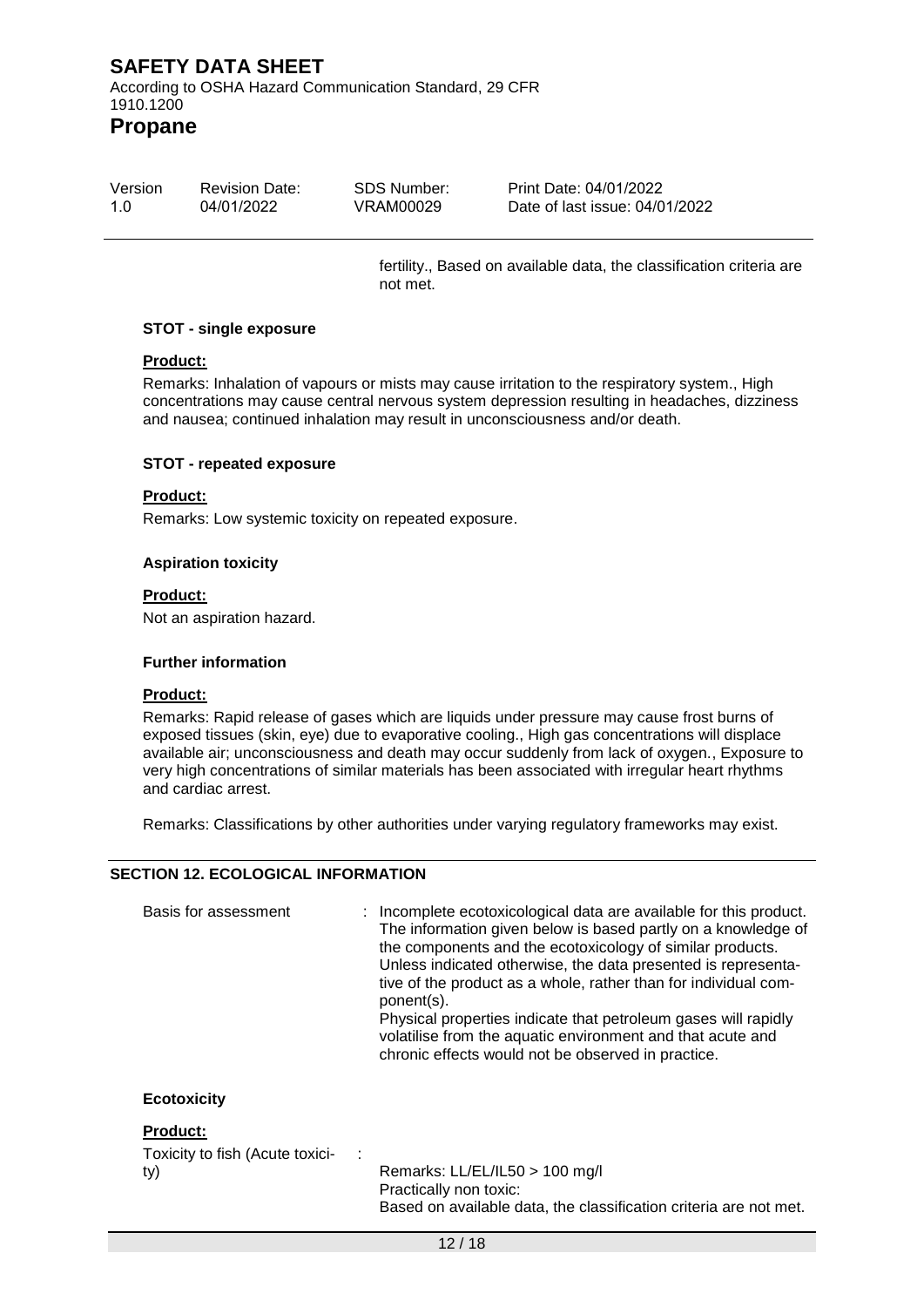**Propane**

| Version | <b>Revision Date:</b> | SDS Number: | Print Date: 04/01/2022         |
|---------|-----------------------|-------------|--------------------------------|
| 1.0     | 04/01/2022            | VRAM00029   | Date of last issue: 04/01/2022 |

fertility., Based on available data, the classification criteria are not met.

#### **STOT - single exposure**

### **Product:**

Remarks: Inhalation of vapours or mists may cause irritation to the respiratory system., High concentrations may cause central nervous system depression resulting in headaches, dizziness and nausea; continued inhalation may result in unconsciousness and/or death.

#### **STOT - repeated exposure**

#### **Product:**

Remarks: Low systemic toxicity on repeated exposure.

#### **Aspiration toxicity**

#### **Product:**

Not an aspiration hazard.

#### **Further information**

#### **Product:**

Remarks: Rapid release of gases which are liquids under pressure may cause frost burns of exposed tissues (skin, eye) due to evaporative cooling., High gas concentrations will displace available air; unconsciousness and death may occur suddenly from lack of oxygen., Exposure to very high concentrations of similar materials has been associated with irregular heart rhythms and cardiac arrest.

Remarks: Classifications by other authorities under varying regulatory frameworks may exist.

#### **SECTION 12. ECOLOGICAL INFORMATION**

| Basis for assessment                                      | : Incomplete ecotoxicological data are available for this product.<br>The information given below is based partly on a knowledge of<br>the components and the ecotoxicology of similar products.<br>Unless indicated otherwise, the data presented is representa-<br>tive of the product as a whole, rather than for individual com-<br>ponent(s).<br>Physical properties indicate that petroleum gases will rapidly<br>volatilise from the aquatic environment and that acute and<br>chronic effects would not be observed in practice. |
|-----------------------------------------------------------|------------------------------------------------------------------------------------------------------------------------------------------------------------------------------------------------------------------------------------------------------------------------------------------------------------------------------------------------------------------------------------------------------------------------------------------------------------------------------------------------------------------------------------------|
| <b>Ecotoxicity</b>                                        |                                                                                                                                                                                                                                                                                                                                                                                                                                                                                                                                          |
| <b>Product:</b><br>Toxicity to fish (Acute toxici-<br>ty) | Remarks: LL/EL/IL50 > 100 mg/l                                                                                                                                                                                                                                                                                                                                                                                                                                                                                                           |

Practically non toxic: Based on available data, the classification criteria are not met.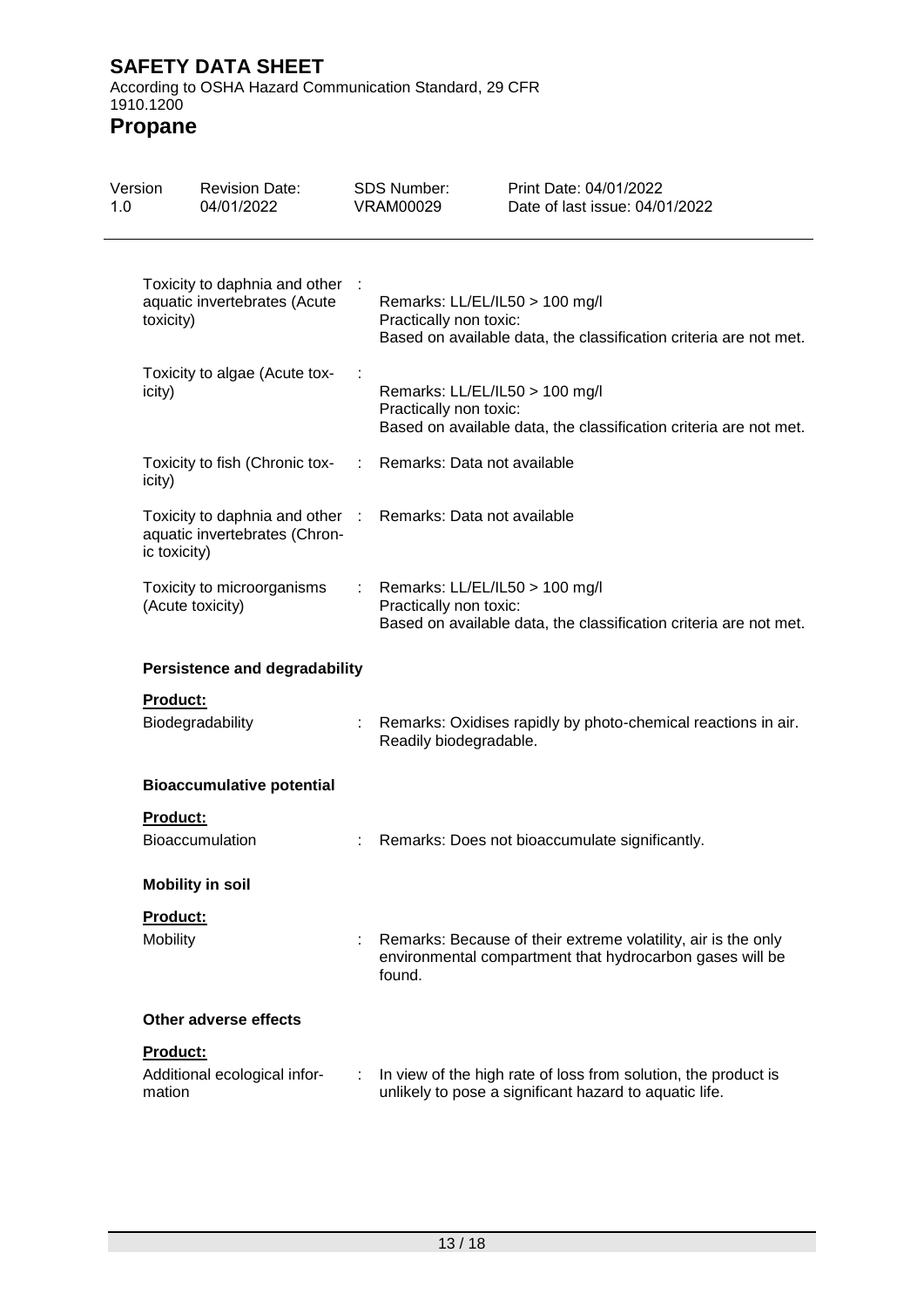According to OSHA Hazard Communication Standard, 29 CFR 1910.1200

| 1.0 | Version            | <b>Revision Date:</b><br>04/01/2022                              |   | <b>SDS Number:</b><br><b>VRAM00029</b>                   | Print Date: 04/01/2022<br>Date of last issue: 04/01/2022                                                                  |
|-----|--------------------|------------------------------------------------------------------|---|----------------------------------------------------------|---------------------------------------------------------------------------------------------------------------------------|
|     | toxicity)          | Toxicity to daphnia and other :<br>aquatic invertebrates (Acute  |   | Remarks: LL/EL/IL50 > 100 mg/l<br>Practically non toxic: | Based on available data, the classification criteria are not met.                                                         |
|     | icity)             | Toxicity to algae (Acute tox-                                    |   | Remarks: LL/EL/IL50 > 100 mg/l<br>Practically non toxic: | Based on available data, the classification criteria are not met.                                                         |
|     | icity)             | Toxicity to fish (Chronic tox-                                   | ÷ | Remarks: Data not available                              |                                                                                                                           |
|     | ic toxicity)       | Toxicity to daphnia and other :<br>aquatic invertebrates (Chron- |   | Remarks: Data not available                              |                                                                                                                           |
|     |                    | Toxicity to microorganisms<br>(Acute toxicity)                   |   | Remarks: LL/EL/IL50 > 100 mg/l<br>Practically non toxic: | Based on available data, the classification criteria are not met.                                                         |
|     |                    | <b>Persistence and degradability</b>                             |   |                                                          |                                                                                                                           |
|     | <b>Product:</b>    | Biodegradability                                                 |   | Readily biodegradable.                                   | Remarks: Oxidises rapidly by photo-chemical reactions in air.                                                             |
|     |                    | <b>Bioaccumulative potential</b>                                 |   |                                                          |                                                                                                                           |
|     | <b>Product:</b>    | <b>Bioaccumulation</b>                                           |   |                                                          | Remarks: Does not bioaccumulate significantly.                                                                            |
|     |                    | <b>Mobility in soil</b>                                          |   |                                                          |                                                                                                                           |
|     | <b>Product:</b>    |                                                                  |   |                                                          |                                                                                                                           |
|     | Mobility           |                                                                  |   | found.                                                   | Remarks: Because of their extreme volatility, air is the only<br>environmental compartment that hydrocarbon gases will be |
|     |                    | Other adverse effects                                            |   |                                                          |                                                                                                                           |
|     | Product:<br>mation | Additional ecological infor-                                     | ÷ |                                                          | In view of the high rate of loss from solution, the product is<br>unlikely to pose a significant hazard to aquatic life.  |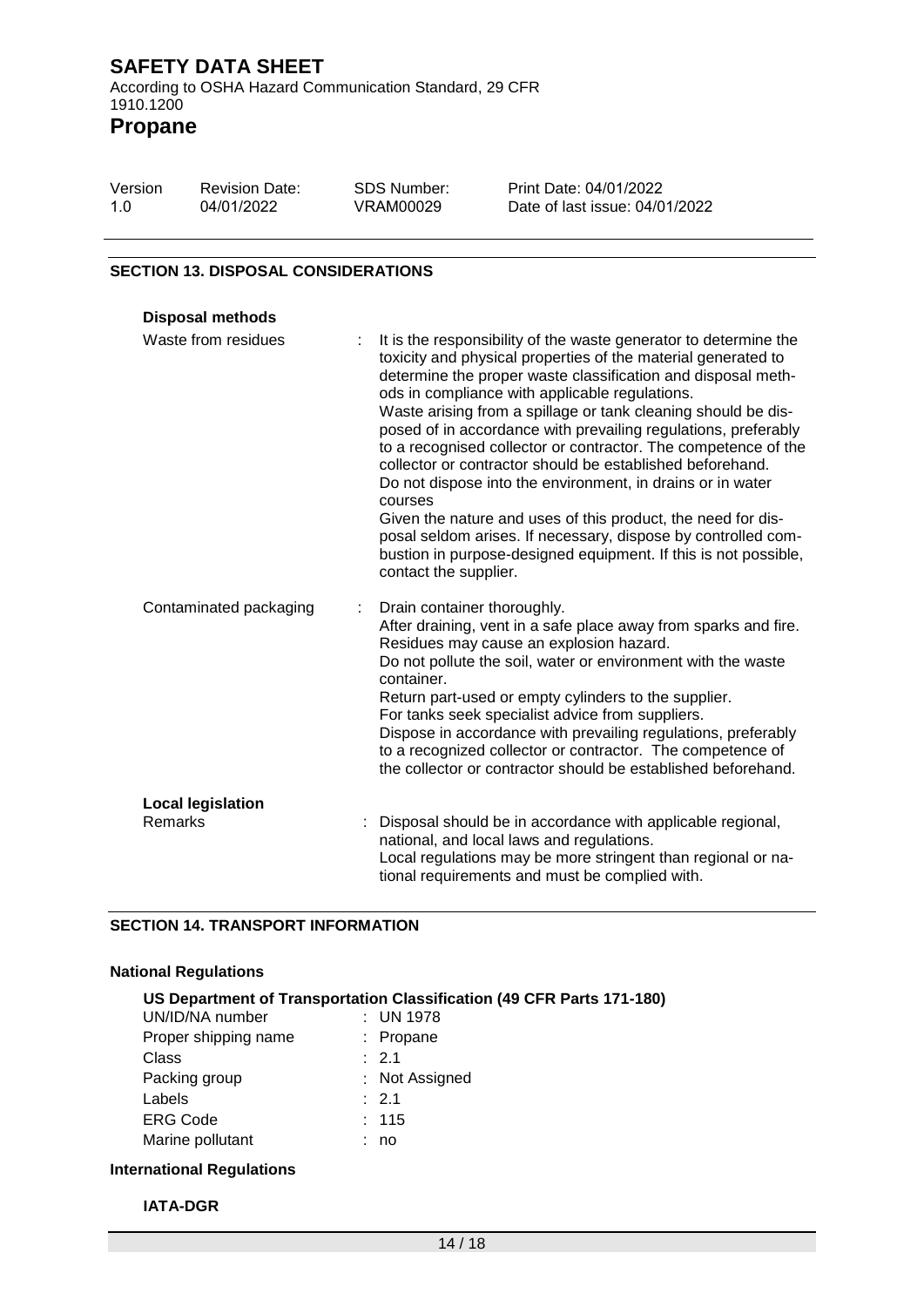| Version | <b>Revision Date:</b> | SDS Number: | Print Date: 04/01/2022         |
|---------|-----------------------|-------------|--------------------------------|
| 1.0     | 04/01/2022            | VRAM00029   | Date of last issue: 04/01/2022 |

#### **SECTION 13. DISPOSAL CONSIDERATIONS**

| <b>Disposal methods</b>             |                                                                                                                                                                                                                                                                                                                                                                                                                                                                                                                                                                                                                                                                                                                                                                                                                             |
|-------------------------------------|-----------------------------------------------------------------------------------------------------------------------------------------------------------------------------------------------------------------------------------------------------------------------------------------------------------------------------------------------------------------------------------------------------------------------------------------------------------------------------------------------------------------------------------------------------------------------------------------------------------------------------------------------------------------------------------------------------------------------------------------------------------------------------------------------------------------------------|
| Waste from residues                 | It is the responsibility of the waste generator to determine the<br>toxicity and physical properties of the material generated to<br>determine the proper waste classification and disposal meth-<br>ods in compliance with applicable regulations.<br>Waste arising from a spillage or tank cleaning should be dis-<br>posed of in accordance with prevailing regulations, preferably<br>to a recognised collector or contractor. The competence of the<br>collector or contractor should be established beforehand.<br>Do not dispose into the environment, in drains or in water<br>courses<br>Given the nature and uses of this product, the need for dis-<br>posal seldom arises. If necessary, dispose by controlled com-<br>bustion in purpose-designed equipment. If this is not possible,<br>contact the supplier. |
| Contaminated packaging              | Drain container thoroughly.<br>After draining, vent in a safe place away from sparks and fire.<br>Residues may cause an explosion hazard.<br>Do not pollute the soil, water or environment with the waste<br>container.<br>Return part-used or empty cylinders to the supplier.<br>For tanks seek specialist advice from suppliers.<br>Dispose in accordance with prevailing regulations, preferably<br>to a recognized collector or contractor. The competence of<br>the collector or contractor should be established beforehand.                                                                                                                                                                                                                                                                                         |
| <b>Local legislation</b><br>Remarks | : Disposal should be in accordance with applicable regional,<br>national, and local laws and regulations.<br>Local regulations may be more stringent than regional or na-<br>tional requirements and must be complied with.                                                                                                                                                                                                                                                                                                                                                                                                                                                                                                                                                                                                 |

### **SECTION 14. TRANSPORT INFORMATION**

### **National Regulations**

| US Department of Transportation Classification (49 CFR Parts 171-180) |  |  |  |  |  |
|-----------------------------------------------------------------------|--|--|--|--|--|
|-----------------------------------------------------------------------|--|--|--|--|--|

| UN/ID/NA number      | : UN 1978        |
|----------------------|------------------|
| Proper shipping name | : Propane        |
| Class                | $\therefore$ 2.1 |
| Packing group        | : Not Assigned   |
| Labels               | $\therefore$ 2.1 |
| <b>ERG Code</b>      | : 115            |
| Marine pollutant     | no               |

# **International Regulations**

#### **IATA-DGR**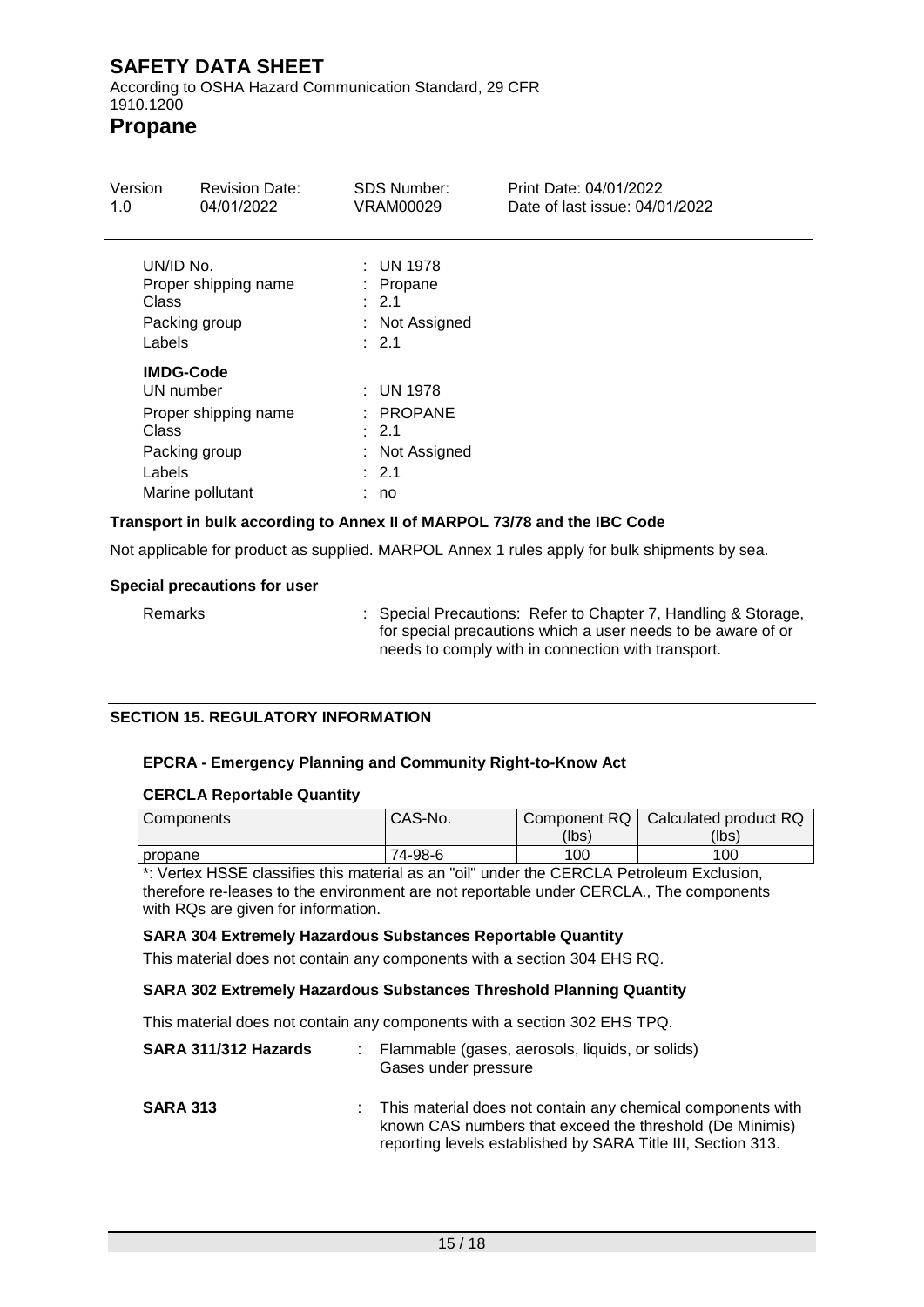According to OSHA Hazard Communication Standard, 29 CFR 1910.1200

# **Propane**

| Version<br>1.0                                                    | <b>Revision Date:</b><br>04/01/2022      | <b>SDS Number:</b><br><b>VRAM00029</b>                               | Print Date: 04/01/2022<br>Date of last issue: 04/01/2022 |
|-------------------------------------------------------------------|------------------------------------------|----------------------------------------------------------------------|----------------------------------------------------------|
| UN/ID No.<br>Class<br>Packing group<br>Labels                     | Proper shipping name                     | $:$ UN 1978<br>: Propane<br>$\div$ 2.1<br>: Not Assigned<br>: 2.1    |                                                          |
| <b>IMDG-Code</b><br>UN number<br>Class<br>Packing group<br>Labels | Proper shipping name<br>Marine pollutant | $:$ UN 1978<br>$:$ PROPANE<br>: 2.1<br>: Not Assigned<br>: 2.1<br>no |                                                          |

### **Transport in bulk according to Annex II of MARPOL 73/78 and the IBC Code**

Not applicable for product as supplied. MARPOL Annex 1 rules apply for bulk shipments by sea.

#### **Special precautions for user**

Remarks : Special Precautions: Refer to Chapter 7, Handling & Storage, for special precautions which a user needs to be aware of or needs to comply with in connection with transport.

#### **SECTION 15. REGULATORY INFORMATION**

#### **EPCRA - Emergency Planning and Community Right-to-Know Act**

#### **CERCLA Reportable Quantity**

| <b>Components</b>                                                                                                                                                                                                                                                                                                                                                                                                                                           | CAS-No. | Component RQ  <br>(lbs) | Calculated product RQ<br>(lbs) |
|-------------------------------------------------------------------------------------------------------------------------------------------------------------------------------------------------------------------------------------------------------------------------------------------------------------------------------------------------------------------------------------------------------------------------------------------------------------|---------|-------------------------|--------------------------------|
| I propane                                                                                                                                                                                                                                                                                                                                                                                                                                                   | 74-98-6 | 100                     | 100                            |
| $\mathcal{L}(\mathcal{L}(\mathcal{L})\cap\mathcal{L}(\mathcal{L}(\mathcal{L}(\mathcal{L}(\mathcal{L}(\mathcal{L}(\mathcal{L}(\mathcal{L}(\mathcal{L}(\mathcal{L}(\mathcal{L}(\mathcal{L}(\mathcal{L}(\mathcal{L}(\mathcal{L}(\mathcal{L}(\mathcal{L}(\mathcal{L}(\mathcal{L}(\mathcal{L}(\mathcal{L}(\mathcal{L}(\mathcal{L}(\mathcal{L}(\mathcal{L}(\mathcal{L}(\mathcal{L}(\mathcal{L}(\mathcal{L}(\mathcal{L}(\mathcal{L}(\mathcal{L}(\mathcal{L}(\math$ |         |                         |                                |

\*: Vertex HSSE classifies this material as an "oil" under the CERCLA Petroleum Exclusion, therefore re-leases to the environment are not reportable under CERCLA., The components with RQs are given for information.

#### **SARA 304 Extremely Hazardous Substances Reportable Quantity**

This material does not contain any components with a section 304 EHS RQ.

#### **SARA 302 Extremely Hazardous Substances Threshold Planning Quantity**

This material does not contain any components with a section 302 EHS TPQ.

| SARA 311/312 Hazards | : Flammable (gases, aerosols, liquids, or solids)<br>Gases under pressure                                                                                                                 |
|----------------------|-------------------------------------------------------------------------------------------------------------------------------------------------------------------------------------------|
| <b>SARA 313</b>      | : This material does not contain any chemical components with<br>known CAS numbers that exceed the threshold (De Minimis)<br>reporting levels established by SARA Title III, Section 313. |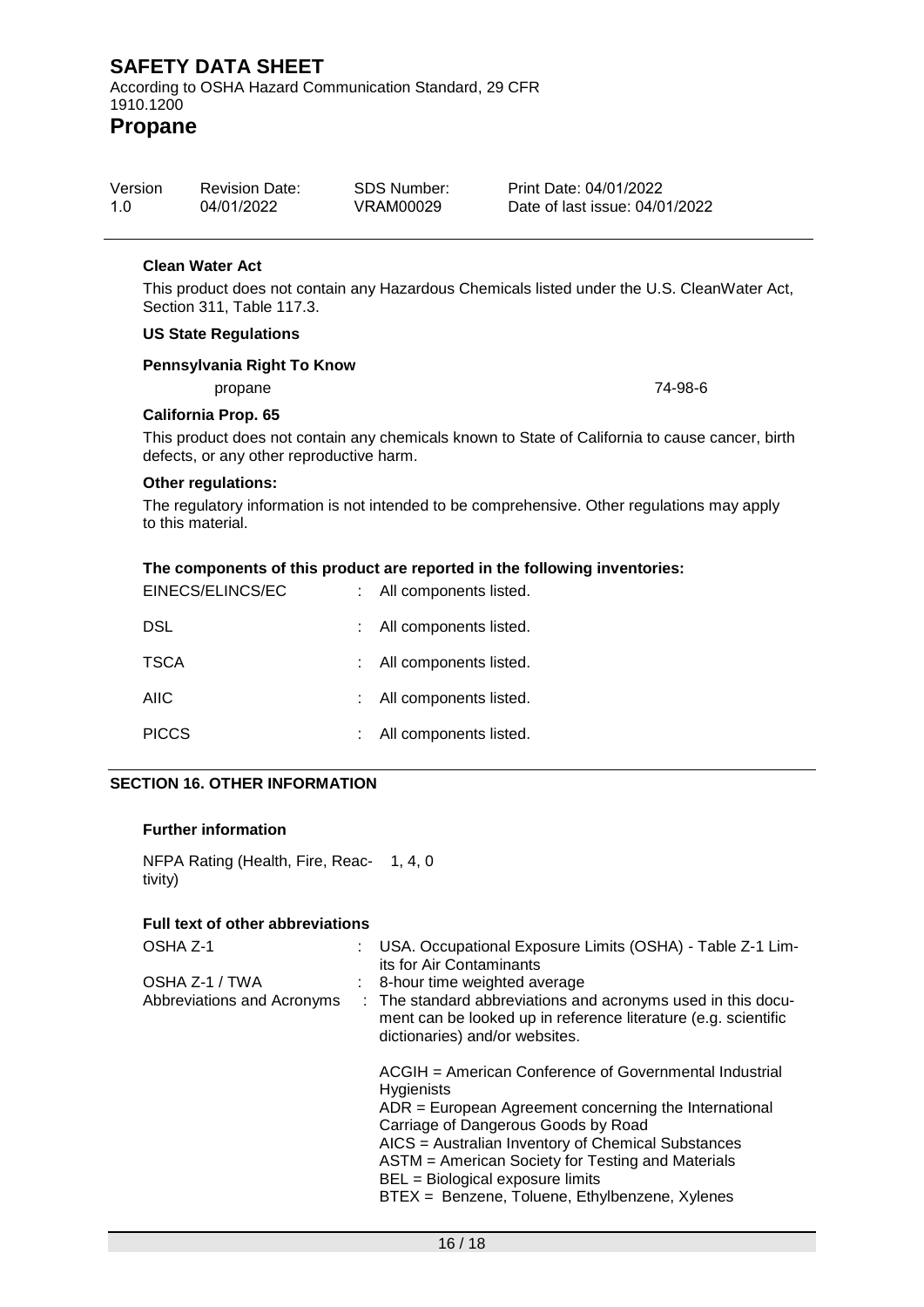According to OSHA Hazard Communication Standard, 29 CFR 1910.1200

**Propane**

| Version | <b>Revision Date:</b> | SDS Number: | Print Date: 04/01/2022         |
|---------|-----------------------|-------------|--------------------------------|
| 1 O     | 04/01/2022            | VRAM00029   | Date of last issue: 04/01/2022 |

#### **Clean Water Act**

This product does not contain any Hazardous Chemicals listed under the U.S. CleanWater Act, Section 311, Table 117.3.

### **US State Regulations**

#### **Pennsylvania Right To Know**

propane 74-98-6

#### **California Prop. 65**

This product does not contain any chemicals known to State of California to cause cancer, birth defects, or any other reproductive harm.

#### **Other regulations:**

The regulatory information is not intended to be comprehensive. Other regulations may apply to this material.

#### **The components of this product are reported in the following inventories:**

| EINECS/ELINCS/EC | : All components listed. |
|------------------|--------------------------|
| <b>DSL</b>       | : All components listed. |
| <b>TSCA</b>      | : All components listed. |
| <b>AIIC</b>      | : All components listed. |
| <b>PICCS</b>     | All components listed.   |

#### **SECTION 16. OTHER INFORMATION**

#### **Further information**

NFPA Rating (Health, Fire, Reac-1, 4, 0 tivity)

#### **Full text of other abbreviations**

| OSHA Z-1                                     | : USA. Occupational Exposure Limits (OSHA) - Table Z-1 Lim-<br>its for Air Contaminants                                                                                                                                                                                                                                                                                        |
|----------------------------------------------|--------------------------------------------------------------------------------------------------------------------------------------------------------------------------------------------------------------------------------------------------------------------------------------------------------------------------------------------------------------------------------|
| OSHA Z-1 / TWA<br>Abbreviations and Acronyms | $\therefore$ 8-hour time weighted average<br>: The standard abbreviations and acronyms used in this docu-<br>ment can be looked up in reference literature (e.g. scientific<br>dictionaries) and/or websites.                                                                                                                                                                  |
|                                              | ACGIH = American Conference of Governmental Industrial<br><b>Hygienists</b><br>$ADR = European Agreement concerning the International$<br>Carriage of Dangerous Goods by Road<br>AICS = Australian Inventory of Chemical Substances<br>ASTM = American Society for Testing and Materials<br>BEL = Biological exposure limits<br>BTEX = Benzene, Toluene, Ethylbenzene, Xylenes |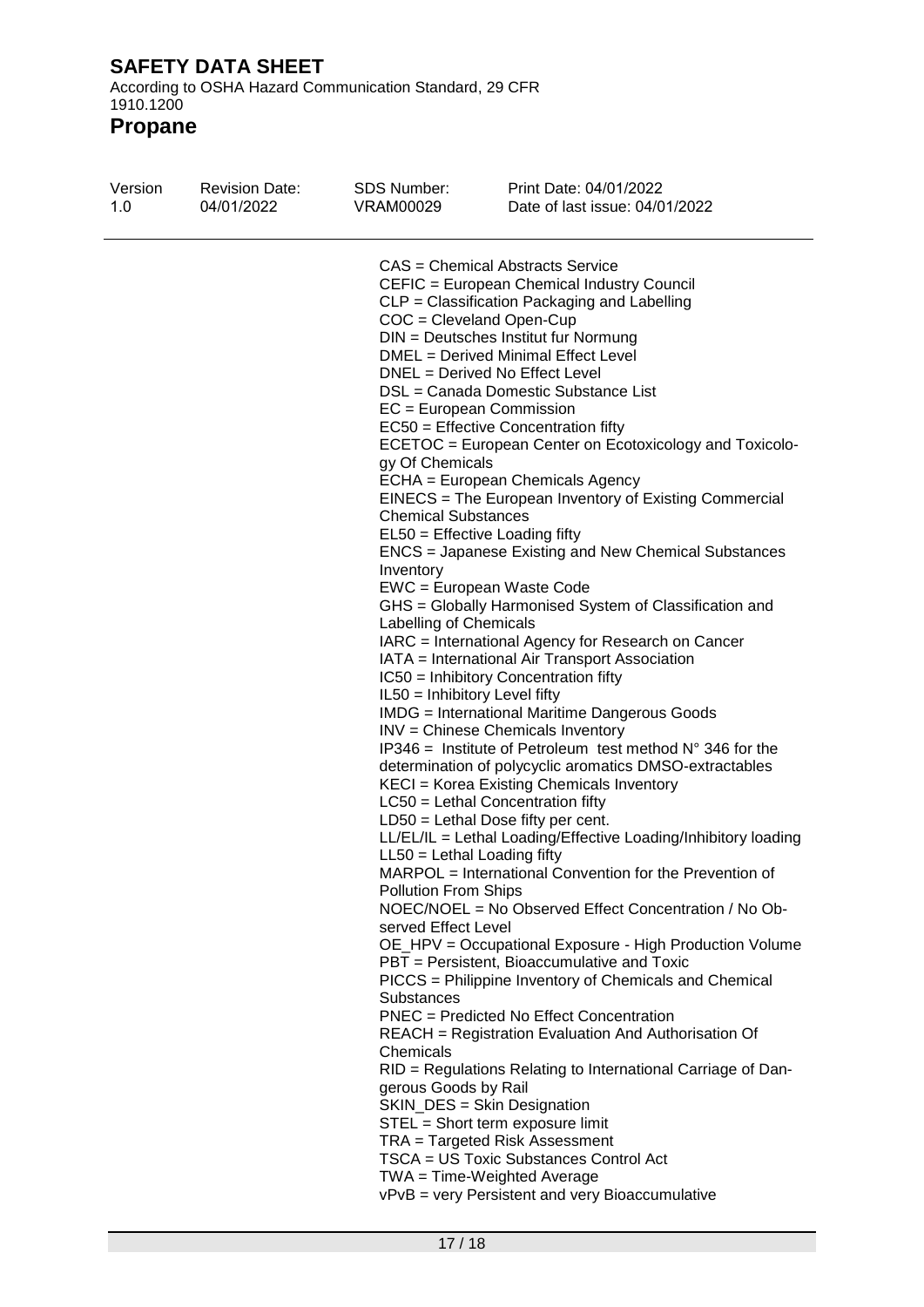According to OSHA Hazard Communication Standard, 29 CFR 1910.1200

| Version<br>1.0 | <b>Revision Date:</b><br>04/01/2022 | <b>SDS Number:</b><br>VRAM00029                                                                                                                                                                                                                                                                                    | Print Date: 04/01/2022<br>Date of last issue: 04/01/2022                                                                                                                                                                                                                                                                                                                                                                                                                                                                                                                                                                                                                                                                                                                                                                                                                                                                                                                                                                                                                                                                                                                                                                                                                                                                                                                                                                                                                                                                                                                                                                                                                                                                                                                                                                                                                                                                                                            |
|----------------|-------------------------------------|--------------------------------------------------------------------------------------------------------------------------------------------------------------------------------------------------------------------------------------------------------------------------------------------------------------------|---------------------------------------------------------------------------------------------------------------------------------------------------------------------------------------------------------------------------------------------------------------------------------------------------------------------------------------------------------------------------------------------------------------------------------------------------------------------------------------------------------------------------------------------------------------------------------------------------------------------------------------------------------------------------------------------------------------------------------------------------------------------------------------------------------------------------------------------------------------------------------------------------------------------------------------------------------------------------------------------------------------------------------------------------------------------------------------------------------------------------------------------------------------------------------------------------------------------------------------------------------------------------------------------------------------------------------------------------------------------------------------------------------------------------------------------------------------------------------------------------------------------------------------------------------------------------------------------------------------------------------------------------------------------------------------------------------------------------------------------------------------------------------------------------------------------------------------------------------------------------------------------------------------------------------------------------------------------|
|                |                                     | $COC = Cleveland Open-Cup$<br>EC = European Commission<br>gy Of Chemicals<br><b>Chemical Substances</b><br>Inventory<br>Labelling of Chemicals<br>IL50 = Inhibitory Level fifty<br>$LL50 = Lethal$ Loading fifty<br>Pollution From Ships<br>served Effect Level<br>Substances<br>Chemicals<br>gerous Goods by Rail | <b>CAS</b> = Chemical Abstracts Service<br>CEFIC = European Chemical Industry Council<br>CLP = Classification Packaging and Labelling<br>DIN = Deutsches Institut fur Normung<br>DMEL = Derived Minimal Effect Level<br>DNEL = Derived No Effect Level<br>DSL = Canada Domestic Substance List<br>$EC50 =$ Effective Concentration fifty<br>ECETOC = European Center on Ecotoxicology and Toxicolo-<br>ECHA = European Chemicals Agency<br>EINECS = The European Inventory of Existing Commercial<br>EL50 = Effective Loading fifty<br>ENCS = Japanese Existing and New Chemical Substances<br>EWC = European Waste Code<br>GHS = Globally Harmonised System of Classification and<br>IARC = International Agency for Research on Cancer<br>IATA = International Air Transport Association<br>IC50 = Inhibitory Concentration fifty<br><b>IMDG</b> = International Maritime Dangerous Goods<br>INV = Chinese Chemicals Inventory<br>IP346 = Institute of Petroleum test method $N^{\circ}$ 346 for the<br>determination of polycyclic aromatics DMSO-extractables<br>KECI = Korea Existing Chemicals Inventory<br>$LC50$ = Lethal Concentration fifty<br>$LD50 = Lethal Does fifty per cent.$<br>LL/EL/IL = Lethal Loading/Effective Loading/Inhibitory loading<br>MARPOL = International Convention for the Prevention of<br>NOEC/NOEL = No Observed Effect Concentration / No Ob-<br>OE_HPV = Occupational Exposure - High Production Volume<br>PBT = Persistent, Bioaccumulative and Toxic<br>PICCS = Philippine Inventory of Chemicals and Chemical<br>PNEC = Predicted No Effect Concentration<br>REACH = Registration Evaluation And Authorisation Of<br>RID = Regulations Relating to International Carriage of Dan-<br>SKIN_DES = Skin Designation<br>STEL = Short term exposure limit<br>TRA = Targeted Risk Assessment<br><b>TSCA = US Toxic Substances Control Act</b><br>TWA = Time-Weighted Average<br>vPvB = very Persistent and very Bioaccumulative |
|                |                                     |                                                                                                                                                                                                                                                                                                                    |                                                                                                                                                                                                                                                                                                                                                                                                                                                                                                                                                                                                                                                                                                                                                                                                                                                                                                                                                                                                                                                                                                                                                                                                                                                                                                                                                                                                                                                                                                                                                                                                                                                                                                                                                                                                                                                                                                                                                                     |